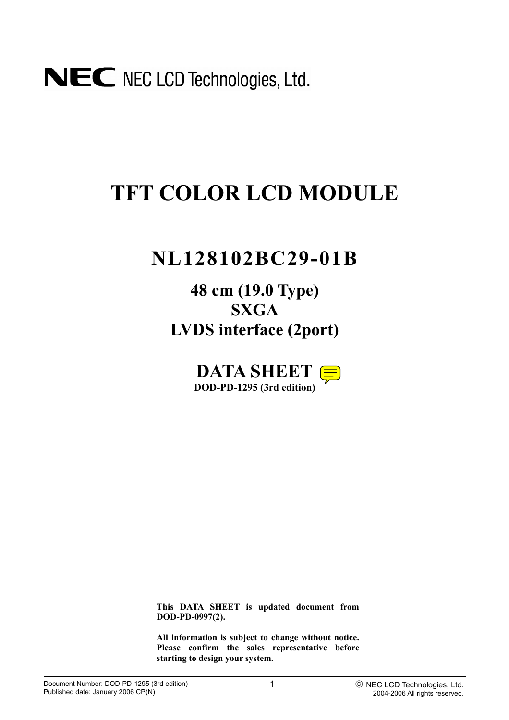# **TFT COLOR LCD MODULE**

# **NL128102BC29-01B**

**48 cm (19.0 Type) SXGA LVDS interface (2port)**

> **DATA SHEET DOD-PD-1295 (3rd edition)**

**This DATA SHEET is updated document from DOD-PD-0997(2).** 

**All information is subject to change without notice. Please confirm the sales representative before starting to design your system.** 

1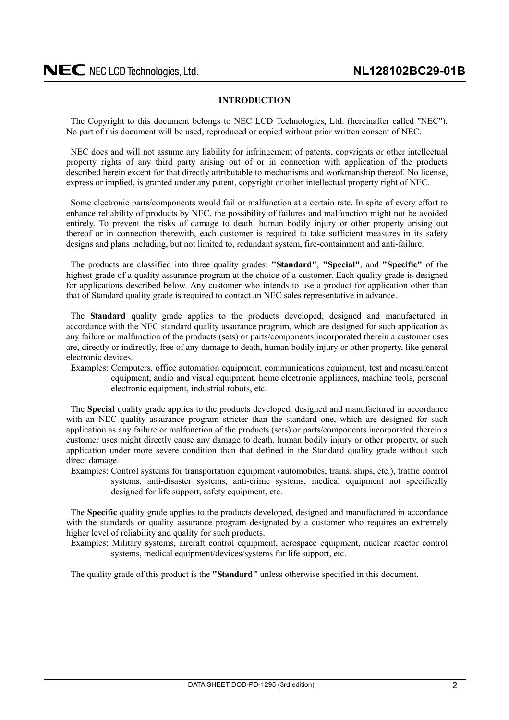### <span id="page-1-0"></span>**INTRODUCTION**

The Copyright to this document belongs to NEC LCD Technologies, Ltd. (hereinafter called "NEC"). No part of this document will be used, reproduced or copied without prior written consent of NEC.

NEC does and will not assume any liability for infringement of patents, copyrights or other intellectual property rights of any third party arising out of or in connection with application of the products described herein except for that directly attributable to mechanisms and workmanship thereof. No license, express or implied, is granted under any patent, copyright or other intellectual property right of NEC.

Some electronic parts/components would fail or malfunction at a certain rate. In spite of every effort to enhance reliability of products by NEC, the possibility of failures and malfunction might not be avoided entirely. To prevent the risks of damage to death, human bodily injury or other property arising out thereof or in connection therewith, each customer is required to take sufficient measures in its safety designs and plans including, but not limited to, redundant system, fire-containment and anti-failure.

The products are classified into three quality grades: **"Standard"**, **"Special"**, and **"Specific"** of the highest grade of a quality assurance program at the choice of a customer. Each quality grade is designed for applications described below. Any customer who intends to use a product for application other than that of Standard quality grade is required to contact an NEC sales representative in advance.

The **Standard** quality grade applies to the products developed, designed and manufactured in accordance with the NEC standard quality assurance program, which are designed for such application as any failure or malfunction of the products (sets) or parts/components incorporated therein a customer uses are, directly or indirectly, free of any damage to death, human bodily injury or other property, like general electronic devices.

Examples: Computers, office automation equipment, communications equipment, test and measurement equipment, audio and visual equipment, home electronic appliances, machine tools, personal electronic equipment, industrial robots, etc.

The **Special** quality grade applies to the products developed, designed and manufactured in accordance with an NEC quality assurance program stricter than the standard one, which are designed for such application as any failure or malfunction of the products (sets) or parts/components incorporated therein a customer uses might directly cause any damage to death, human bodily injury or other property, or such application under more severe condition than that defined in the Standard quality grade without such direct damage.

Examples: Control systems for transportation equipment (automobiles, trains, ships, etc.), traffic control systems, anti-disaster systems, anti-crime systems, medical equipment not specifically designed for life support, safety equipment, etc.

The **Specific** quality grade applies to the products developed, designed and manufactured in accordance with the standards or quality assurance program designated by a customer who requires an extremely higher level of reliability and quality for such products.

Examples: Military systems, aircraft control equipment, aerospace equipment, nuclear reactor control systems, medical equipment/devices/systems for life support, etc.

The quality grade of this product is the **"Standard"** unless otherwise specified in this document.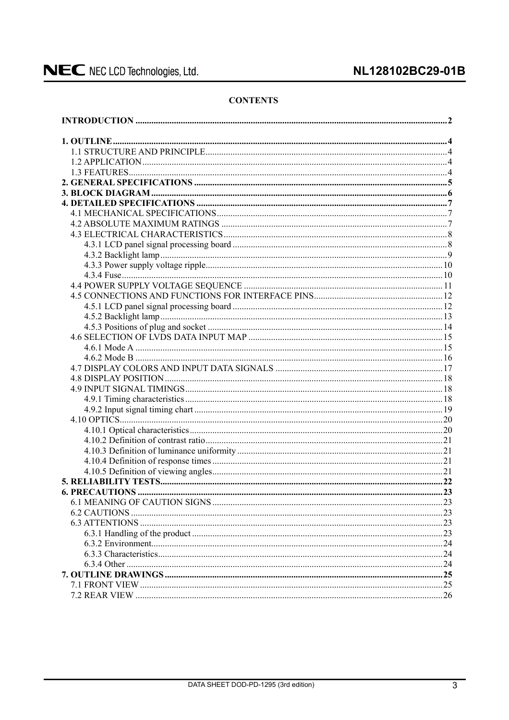### **CONTENTS**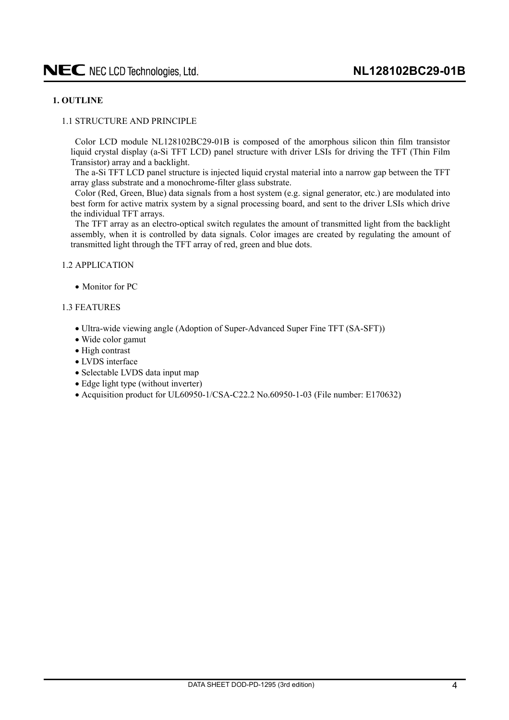### <span id="page-3-0"></span>**1. OUTLINE**

### <span id="page-3-1"></span>1.1 STRUCTURE AND PRINCIPLE

Color LCD module NL128102BC29-01B is composed of the amorphous silicon thin film transistor liquid crystal display (a-Si TFT LCD) panel structure with driver LSIs for driving the TFT (Thin Film Transistor) array and a backlight.

The a-Si TFT LCD panel structure is injected liquid crystal material into a narrow gap between the TFT array glass substrate and a monochrome-filter glass substrate.

Color (Red, Green, Blue) data signals from a host system (e.g. signal generator, etc.) are modulated into best form for active matrix system by a signal processing board, and sent to the driver LSIs which drive the individual TFT arrays.

The TFT array as an electro-optical switch regulates the amount of transmitted light from the backlight assembly, when it is controlled by data signals. Color images are created by regulating the amount of transmitted light through the TFT array of red, green and blue dots.

### <span id="page-3-2"></span>1.2 APPLICATION

• Monitor for PC

### <span id="page-3-3"></span>1.3 FEATURES

- Ultra-wide viewing angle (Adoption of Super-Advanced Super Fine TFT (SA-SFT))
- Wide color gamut
- $\bullet$  High contrast
- LVDS interface
- x Selectable LVDS data input map
- $\bullet$  Edge light type (without inverter)
- Acquisition product for UL60950-1/CSA-C22.2 No.60950-1-03 (File number: E170632)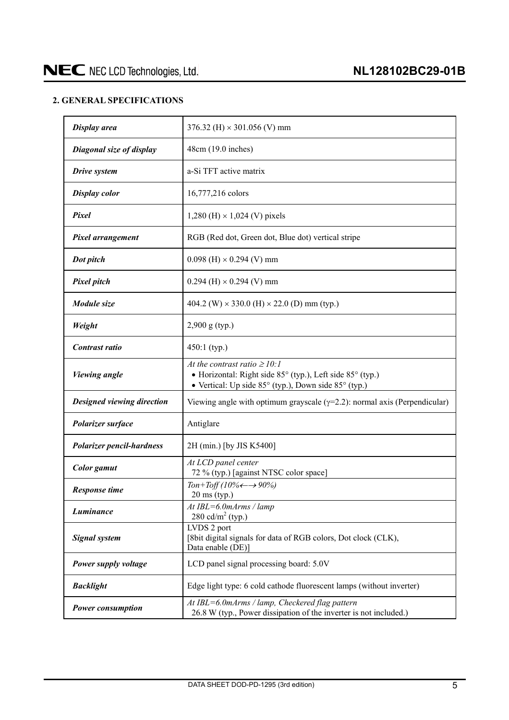### <span id="page-4-0"></span>**2. GENERAL SPECIFICATIONS**

| Display area                                                                                                                                                                                     | 376.32 (H) $\times$ 301.056 (V) mm                                                                                  |  |  |  |
|--------------------------------------------------------------------------------------------------------------------------------------------------------------------------------------------------|---------------------------------------------------------------------------------------------------------------------|--|--|--|
| Diagonal size of display                                                                                                                                                                         | 48cm (19.0 inches)                                                                                                  |  |  |  |
| Drive system                                                                                                                                                                                     | a-Si TFT active matrix                                                                                              |  |  |  |
| <b>Display color</b>                                                                                                                                                                             | 16,777,216 colors                                                                                                   |  |  |  |
| <b>Pixel</b><br>1,280 (H) $\times$ 1,024 (V) pixels                                                                                                                                              |                                                                                                                     |  |  |  |
| Pixel arrangement                                                                                                                                                                                | RGB (Red dot, Green dot, Blue dot) vertical stripe                                                                  |  |  |  |
| Dot pitch                                                                                                                                                                                        | $0.098$ (H) $\times$ 0.294 (V) mm                                                                                   |  |  |  |
| <b>Pixel pitch</b>                                                                                                                                                                               | $0.294$ (H) $\times$ 0.294 (V) mm                                                                                   |  |  |  |
| Module size                                                                                                                                                                                      | 404.2 (W) $\times$ 330.0 (H) $\times$ 22.0 (D) mm (typ.)                                                            |  |  |  |
| Weight                                                                                                                                                                                           | $2,900$ g (typ.)                                                                                                    |  |  |  |
| Contrast ratio                                                                                                                                                                                   | $450:1$ (typ.)                                                                                                      |  |  |  |
| At the contrast ratio $\geq 10$ :<br>• Horizontal: Right side 85° (typ.), Left side 85° (typ.)<br><b>Viewing angle</b><br>• Vertical: Up side $85^{\circ}$ (typ.), Down side $85^{\circ}$ (typ.) |                                                                                                                     |  |  |  |
| <b>Designed viewing direction</b><br>Viewing angle with optimum grayscale $(\gamma=2.2)$ : normal axis (Perpendicular)                                                                           |                                                                                                                     |  |  |  |
| Polarizer surface                                                                                                                                                                                | Antiglare                                                                                                           |  |  |  |
| <b>Polarizer pencil-hardness</b>                                                                                                                                                                 | 2H (min.) [by JIS K5400]                                                                                            |  |  |  |
| Color gamut                                                                                                                                                                                      | At LCD panel center<br>72 % (typ.) [against NTSC color space]                                                       |  |  |  |
| <b>Response time</b>                                                                                                                                                                             | Ton+Toff (10% $\leftarrow \rightarrow 90\%$ )<br>$20 \text{ ms (typ.)}$                                             |  |  |  |
| Luminance                                                                                                                                                                                        | $At IBL = 6.0 mArms / lamp$<br>280 cd/m <sup>2</sup> (typ.)                                                         |  |  |  |
| <b>Signal system</b>                                                                                                                                                                             | LVDS 2 port<br>[8bit digital signals for data of RGB colors, Dot clock (CLK),<br>Data enable (DE)]                  |  |  |  |
| Power supply voltage                                                                                                                                                                             | LCD panel signal processing board: 5.0V                                                                             |  |  |  |
| <b>Backlight</b>                                                                                                                                                                                 | Edge light type: 6 cold cathode fluorescent lamps (without inverter)                                                |  |  |  |
| <b>Power consumption</b>                                                                                                                                                                         | At IBL=6.0mArms / lamp, Checkered flag pattern<br>26.8 W (typ., Power dissipation of the inverter is not included.) |  |  |  |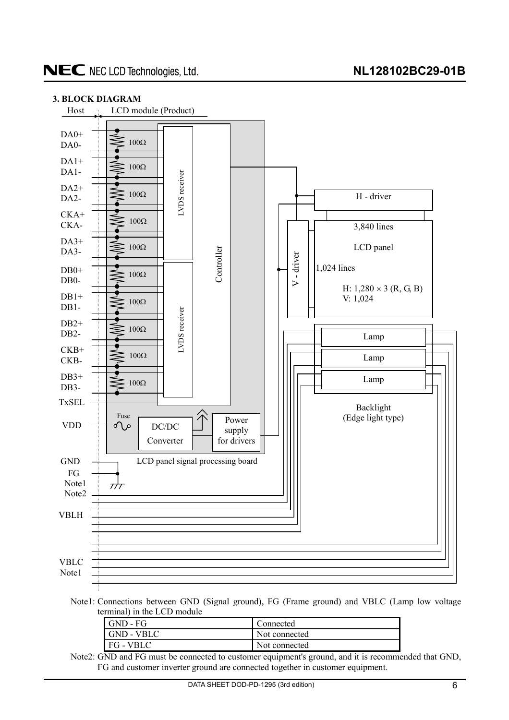<span id="page-5-0"></span>



Note1: Connections between GND (Signal ground), FG (Frame ground) and VBLC (Lamp low voltage terminal) in the LCD module

| GND - FG   | Connected     |
|------------|---------------|
| GND - VBLC | Not connected |
| FG - VBLC  | Not connected |
|            | .             |

Note2: GND and FG must be connected to customer equipment's ground, and it is recommended that GND, FG and customer inverter ground are connected together in customer equipment.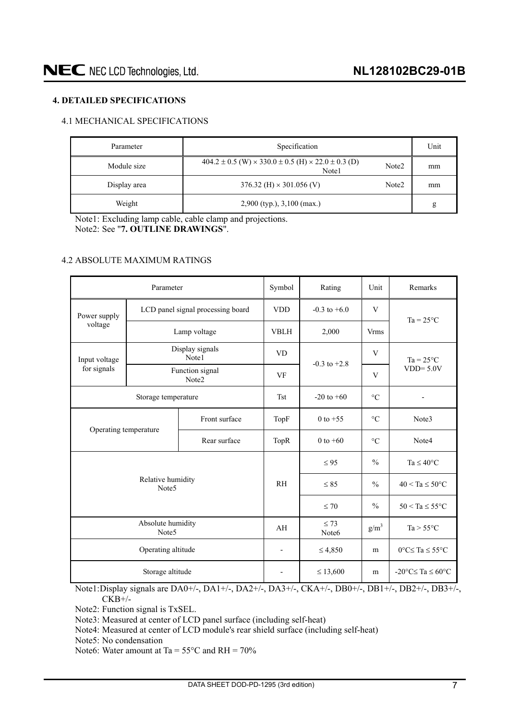### <span id="page-6-0"></span>**4. DETAILED SPECIFICATIONS**

### <span id="page-6-1"></span>4.1 MECHANICAL SPECIFICATIONS

| Parameter    | Specification                                                                         | Unit              |    |
|--------------|---------------------------------------------------------------------------------------|-------------------|----|
| Module size  | $404.2 \pm 0.5$ (W) $\times$ 330.0 $\pm$ 0.5 (H) $\times$ 22.0 $\pm$ 0.3 (D)<br>Note1 | Note <sub>2</sub> | mm |
| Display area | 376.32 (H) $\times$ 301.056 (V)<br>Note <sub>2</sub>                                  |                   | mm |
| Weight       | $2,900$ (typ.), $3,100$ (max.)                                                        |                   | g  |

Note1: Excluding lamp cable, cable clamp and projections.

Note2: See "**7. OUTLINE DRAWINGS**".

### <span id="page-6-2"></span>4.2 ABSOLUTE MAXIMUM RATINGS

| Parameter                              |                                        |                          |                | Rating                         | Unit                   | Remarks                    |
|----------------------------------------|----------------------------------------|--------------------------|----------------|--------------------------------|------------------------|----------------------------|
| Power supply                           | LCD panel signal processing board      |                          | <b>VDD</b>     | $-0.3$ to $+6.0$               | V                      | $Ta = 25^{\circ}C$         |
| voltage                                |                                        | Lamp voltage             | <b>VBLH</b>    | 2,000                          | <b>Vrms</b>            |                            |
| Input voltage                          |                                        | Display signals<br>Note1 | <b>VD</b>      |                                | V                      | $Ta = 25^{\circ}C$         |
| for signals                            |                                        | Function signal<br>Note2 | <b>VF</b>      | $-0.3$ to $+2.8$               | V                      | $VDD = 5.0V$               |
|                                        | Storage temperature                    | <b>Tst</b>               | $-20$ to $+60$ | $\rm ^{\circ}C$                |                        |                            |
| Operating temperature                  |                                        | Front surface            | TopF           | 0 to $+55$                     | $\rm ^{\circ}C$        | Note3                      |
|                                        |                                        | Rear surface             | TopR           | $0$ to $+60$                   | $\rm ^{\circ}C$        | Note4                      |
|                                        |                                        |                          | $\leq$ 95      | $\frac{0}{0}$                  | Ta $\leq 40^{\circ}$ C |                            |
|                                        | Relative humidity<br>Note <sub>5</sub> |                          | R <sub>H</sub> | $\leq 85$                      | $\frac{0}{0}$          | $40 < Ta \leq 50^{\circ}C$ |
|                                        |                                        |                          |                | $\leq 70$                      | $\frac{0}{0}$          | $50 < Ta \leq 55^{\circ}C$ |
| Absolute humidity<br>Note <sub>5</sub> |                                        |                          | AH             | $\leq 73$<br>Note <sub>6</sub> | $g/m^3$                | $Ta > 55^{\circ}C$         |
| Operating altitude                     |                                        |                          |                | $\leq 4,850$                   | m                      | $0^{\circ}$ C≤ Ta ≤ 55°C   |
| Storage altitude                       |                                        |                          |                | $\leq 13,600$                  | m                      | -20°C $\le$ Ta $\le$ 60°C  |

Note1: Display signals are DA0+/-, DA1+/-, DA2+/-, DA3+/-, CKA+/-, DB0+/-, DB1+/-, DB2+/-, DB3+/-,  $CKB+/-$ 

Note2: Function signal is TxSEL.

Note3: Measured at center of LCD panel surface (including self-heat)

Note4: Measured at center of LCD module's rear shield surface (including self-heat)

Note5: No condensation

Note6: Water amount at Ta = 55°C and RH = 70%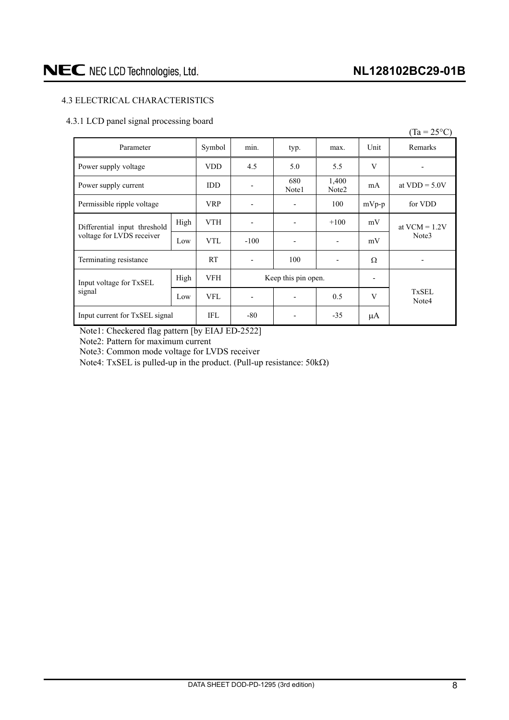### <span id="page-7-0"></span>4.3 ELECTRICAL CHARACTERISTICS

### <span id="page-7-1"></span>4.3.1 LCD panel signal processing board

|                                |      |            |        |                     |                            |         | $(Ta = 25^{\circ}C)$  |
|--------------------------------|------|------------|--------|---------------------|----------------------------|---------|-----------------------|
| Parameter                      |      | Symbol     | min.   | typ.                | max.                       | Unit    | Remarks               |
| Power supply voltage           |      | <b>VDD</b> | 4.5    | 5.0                 | 5.5                        | V       |                       |
| Power supply current           |      | IDD        |        | 680<br>Note1        | 1,400<br>Note <sub>2</sub> | mA      | at $VDD = 5.0V$       |
| Permissible ripple voltage     |      | <b>VRP</b> |        |                     | 100                        | $mVp-p$ | for VDD               |
| Differential input threshold   | High | <b>VTH</b> |        |                     | $+100$                     | mV      | at $VCM = 1.2V$       |
| voltage for LVDS receiver      | Low  | <b>VTL</b> | $-100$ |                     | $\blacksquare$             | mV      | Note3                 |
| Terminating resistance         |      | <b>RT</b>  |        | 100                 |                            | Ω       |                       |
| Input voltage for TxSEL        | High | <b>VFH</b> |        | Keep this pin open. |                            |         |                       |
| signal                         | Low  | <b>VFL</b> |        |                     | 0.5                        | V       | <b>TxSEL</b><br>Note4 |
| Input current for TxSEL signal |      | IFL        | $-80$  |                     | $-35$                      | μA      |                       |

Note1: Checkered flag pattern [by EIAJ ED-2522]

Note2: Pattern for maximum current

Note3: Common mode voltage for LVDS receiver

Note4: TxSEL is pulled-up in the product. (Pull-up resistance:  $50 \text{k}\Omega$ )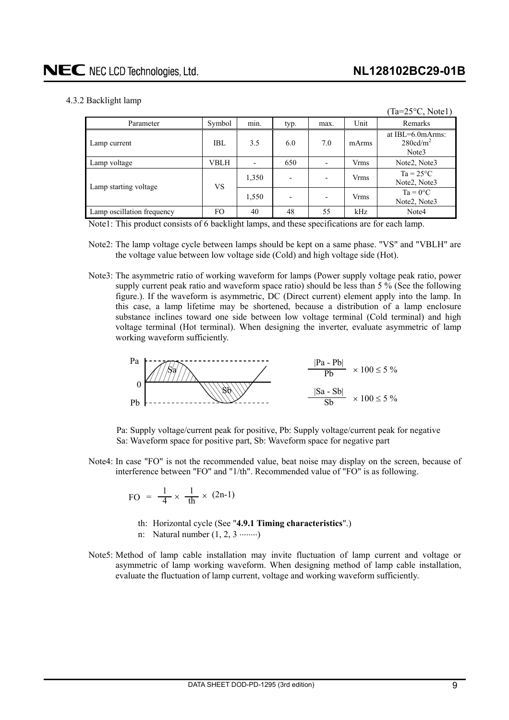<span id="page-8-0"></span>4.3.2 Backlight lamp

|                            |        |       |      |                          |             | $(Ta=25\text{°C}, Note1)$                                      |
|----------------------------|--------|-------|------|--------------------------|-------------|----------------------------------------------------------------|
| Parameter                  | Symbol | min.  | typ. | max.                     | Unit        | Remarks                                                        |
| Lamp current               | IBL    | 3.5   | 6.0  | 7.0                      | mArms       | at IBL $=6.0$ m $\Delta$ rms:<br>280cd/m <sup>2</sup><br>Note3 |
| Lamp voltage               | VBLH   |       | 650  |                          | <b>Vrms</b> | Note2, Note3                                                   |
| Lamp starting voltage      | VS     | 1,350 | ۰    | $\overline{\phantom{a}}$ | <b>Vrms</b> | $Ta = 25^{\circ}C$<br>Note2, Note3                             |
|                            |        | 1,550 |      | $\overline{\phantom{a}}$ | Vrms        | $Ta = 0^{\circ}C$<br>Note2, Note3                              |
| Lamp oscillation frequency | FO     | 40    | 48   | 55                       | kHz         | Note4                                                          |

Note1: This product consists of 6 backlight lamps, and these specifications are for each lamp.

- Note2: The lamp voltage cycle between lamps should be kept on a same phase. "VS" and "VBLH" are the voltage value between low voltage side (Cold) and high voltage side (Hot).
- Note3: The asymmetric ratio of working waveform for lamps (Power supply voltage peak ratio, power supply current peak ratio and waveform space ratio) should be less than 5 % (See the following figure.). If the waveform is asymmetric, DC (Direct current) element apply into the lamp. In this case, a lamp lifetime may be shortened, because a distribution of a lamp enclosure substance inclines toward one side between low voltage terminal (Cold terminal) and high voltage terminal (Hot terminal). When designing the inverter, evaluate asymmetric of lamp working waveform sufficiently.



Pa: Supply voltage/current peak for positive, Pb: Supply voltage/current peak for negative Sa: Waveform space for positive part, Sb: Waveform space for negative part

Note4: In case "FO" is not the recommended value, beat noise may display on the screen, because of interference between "FO" and "1/th". Recommended value of "FO" is as following.

$$
FO = \frac{1}{4} \times \frac{1}{th} \times (2n-1)
$$

- th: Horizontal cycle (See "**4.9.1 Timing characteristics**".)
- n: Natural number  $(1, 2, 3 \dots)$
- Note5: Method of lamp cable installation may invite fluctuation of lamp current and voltage or asymmetric of lamp working waveform. When designing method of lamp cable installation, evaluate the fluctuation of lamp current, voltage and working waveform sufficiently.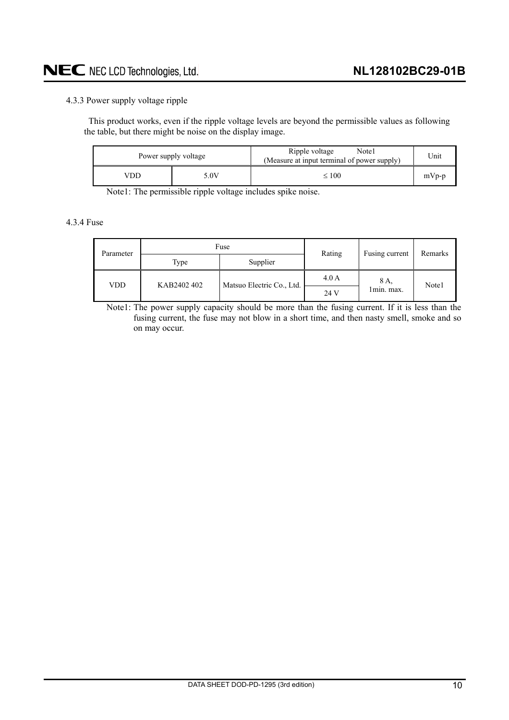### <span id="page-9-0"></span>4.3.3 Power supply voltage ripple

This product works, even if the ripple voltage levels are beyond the permissible values as following the table, but there might be noise on the display image.

| Power supply voltage |      | Ripple voltage<br>Note1<br>(Measure at input terminal of power supply) | Unit    |
|----------------------|------|------------------------------------------------------------------------|---------|
| VDD                  | 5.0V | $\leq 100$                                                             | $mVp-p$ |

Note1: The permissible ripple voltage includes spike noise.

#### <span id="page-9-1"></span>4.3.4 Fuse

| Parameter |             | Fuse                      | Rating | Fusing current | Remarks |
|-----------|-------------|---------------------------|--------|----------------|---------|
|           | Type        | Supplier                  |        |                |         |
| VDD       | KAB2402 402 | Matsuo Electric Co., Ltd. | 4.0 A  | 8 A.           | Note1   |
|           |             |                           | 24 V   | lmin. max.     |         |

Note1: The power supply capacity should be more than the fusing current. If it is less than the fusing current, the fuse may not blow in a short time, and then nasty smell, smoke and so on may occur.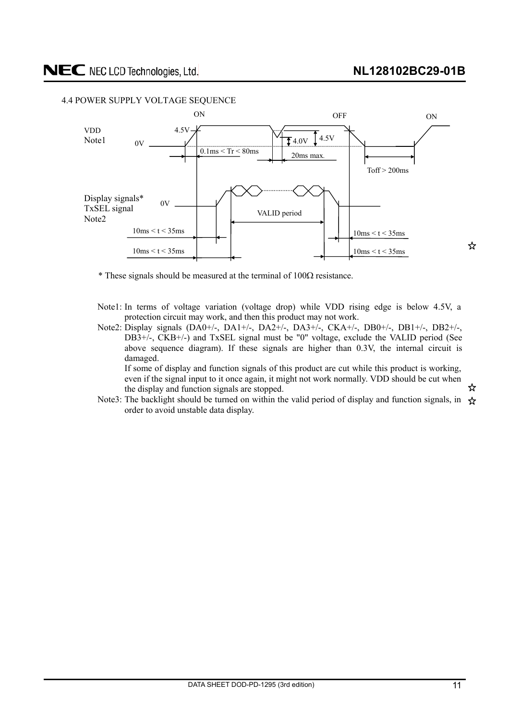☆

☆

### 4.4 POWER SUPPLY VOLTAGE SEQUENCE



 $*$  These signals should be measured at the terminal of 100 $\Omega$  resistance.

- Note1: In terms of voltage variation (voltage drop) while VDD rising edge is below 4.5V, a protection circuit may work, and then this product may not work.
- Note2: Display signals (DA0+/-, DA1+/-, DA2+/-, DA3+/-, CKA+/-, DB0+/-, DB1+/-, DB2+/-, DB3+/-, CKB+/-) and TxSEL signal must be "0" voltage, exclude the VALID period (See above sequence diagram). If these signals are higher than 0.3V, the internal circuit is damaged. If some of display and function signals of this product are cut while this product is working,

even if the signal input to it once again, it might not work normally. VDD should be cut when the display and function signals are stopped.

Note3: The backlight should be turned on within the valid period of display and function signals, in  $\mathcal{R}$ order to avoid unstable data display.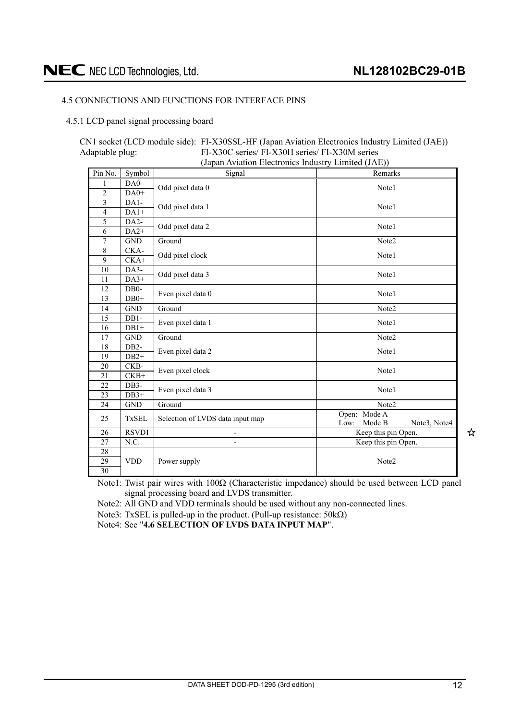### <span id="page-11-0"></span>4.5 CONNECTIONS AND FUNCTIONS FOR INTERFACE PINS

### <span id="page-11-1"></span>4.5.1 LCD panel signal processing board

#### CN1 socket (LCD module side): FI-X30SSL-HF (Japan Aviation Electronics Industry Limited (JAE)) FI-X30C series/ FI-X30H series/ FI-X30M series<br>(Japan Aviation Electronics Industry Limited (IAE)  $\overline{\text{mics}}$  Industry Limited (LAE))

| Pin No.         | Symbol            | Signal                           | Remarks                                        |  |  |
|-----------------|-------------------|----------------------------------|------------------------------------------------|--|--|
|                 | DA0-              | Odd pixel data 0                 | Note1                                          |  |  |
| $\overline{2}$  | $DA0+$            |                                  |                                                |  |  |
| 3               | DA1-              | Odd pixel data 1                 | Note1                                          |  |  |
| $\overline{4}$  | $DA1+$            |                                  |                                                |  |  |
| 5               | DA <sub>2</sub> - | Odd pixel data 2                 | Note1                                          |  |  |
| 6               | $DA2+$            |                                  |                                                |  |  |
| 7               | <b>GND</b>        | Ground                           | Note2                                          |  |  |
| 8               | CKA-              | Odd pixel clock                  | Note1                                          |  |  |
| 9               | $CKA+$            |                                  |                                                |  |  |
| 10              | DA3-              | Odd pixel data 3                 | Note1                                          |  |  |
| 11              | $DA3+$            |                                  |                                                |  |  |
| 12              | DB0-              | Even pixel data 0                | Note1                                          |  |  |
| 13              | $DB0+$            |                                  |                                                |  |  |
| 14              | <b>GND</b>        | Ground                           | Note2                                          |  |  |
| 15              | $DB1-$            | Even pixel data 1                | Note1                                          |  |  |
| 16              | $DB1+$            |                                  |                                                |  |  |
| 17              | <b>GND</b>        | Ground                           | Note2                                          |  |  |
| 18              | DB <sub>2</sub> - | Even pixel data 2                | Note1                                          |  |  |
| 19              | $DB2+$            |                                  |                                                |  |  |
| 20              | CKB-              | Even pixel clock                 | Note1                                          |  |  |
| 21              | $CKB+$            |                                  |                                                |  |  |
| 22              | DB3-              | Even pixel data 3                | Note1                                          |  |  |
| 23              | $DB3+$            |                                  |                                                |  |  |
| 24              | <b>GND</b>        | Ground                           | Note2                                          |  |  |
| 25              | <b>TxSEL</b>      | Selection of LVDS data input map | Open: Mode A<br>Mode B<br>Note3, Note4<br>Low: |  |  |
| 26              | RSVD1             |                                  | Keep this pin Open.                            |  |  |
| $\overline{27}$ | N.C.              |                                  | Keep this pin Open.                            |  |  |
| 28              |                   |                                  |                                                |  |  |
| 29              | <b>VDD</b>        | Power supply                     | Note2                                          |  |  |
| $\overline{30}$ |                   |                                  |                                                |  |  |

Note1: Twist pair wires with  $100\Omega$  (Characteristic impedance) should be used between LCD panel signal processing board and LVDS transmitter.

- Note2: All GND and VDD terminals should be used without any non-connected lines.
- Note3: TxSEL is pulled-up in the product. (Pull-up resistance:  $50 \text{k}\Omega$ )

Note4: See "**4.6 SELECTION OF LVDS DATA INPUT MAP**".

☆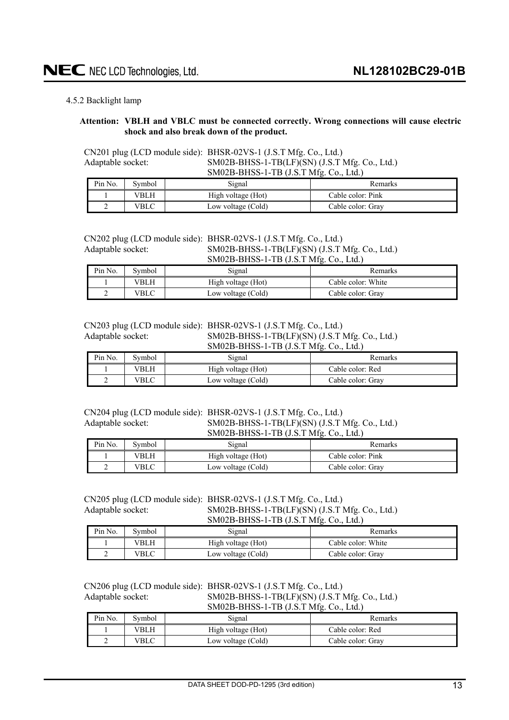### <span id="page-12-0"></span>4.5.2 Backlight lamp

### **Attention: VBLH and VBLC must be connected correctly. Wrong connections will cause electric shock and also break down of the product.**

CN201 plug (LCD module side): BHSR-02VS-1 (J.S.T Mfg. Co., Ltd.) Adaptable socket: SM02B-BHSS-1-TB(LF)(SN) (J.S.T Mfg. Co., Ltd.)  $SMORE$ -BHSS-1-TB ( $\overrightarrow{S}$  T Mfg. Co., Ltd.)

|         | $5102D - D1153 - 1 - 1 D$ ( <i>J.S.I MIIg. CO., LIG.</i> ) |                    |                   |  |  |  |  |
|---------|------------------------------------------------------------|--------------------|-------------------|--|--|--|--|
| Pin No. | Symbol                                                     | Signal             | Remarks           |  |  |  |  |
|         | VBLH                                                       | High voltage (Hot) | Cable color: Pink |  |  |  |  |
|         | √BLC                                                       | Low voltage (Cold) | Cable color: Gray |  |  |  |  |

CN202 plug (LCD module side): BHSR-02VS-1 (J.S.T Mfg. Co., Ltd.) Adaptable socket: SM02B-BHSS-1-TB(LF)(SN) (J.S.T Mfg. Co., Ltd.)  $SM02B-BHSS-1-TB (J.S.T Mfg. Co. Ltd.)$ 

| Pin No. | Symbol | Signal             | Remarks            |
|---------|--------|--------------------|--------------------|
|         | VBLH   | High voltage (Hot) | Cable color: White |
| -       | VBLC   | Low voltage (Cold) | Cable color: Gray  |

CN203 plug (LCD module side): BHSR-02VS-1 (J.S.T Mfg. Co., Ltd.)

Adaptable socket: SM02B-BHSS-1-TB(LF)(SN) (J.S.T Mfg. Co., Ltd.)  $SMO2B-BHSS-1-TB(1S)$  Mfg. Co., Ltd.)

|         |        | $0.01022$ $0.00100$ $1.10$ $0.001$ $0.011$ , $0.001$ |                   |
|---------|--------|------------------------------------------------------|-------------------|
| Pin No. | Symbol | Signal                                               | Remarks           |
|         | VBLH   | High voltage (Hot)                                   | Cable color: Red  |
|         | VBLC   | Low voltage (Cold)                                   | Cable color: Gray |

CN204 plug (LCD module side): BHSR-02VS-1 (J.S.T Mfg. Co., Ltd.)

Adaptable socket: SM02B-BHSS-1-TB(LF)(SN) (J.S.T Mfg. Co., Ltd.)  $SM02B-BHSS-1-TB (JST Mfg) Co.$  Ltd.)

| Pin No. | Symbol | Signal             | Remarks           |
|---------|--------|--------------------|-------------------|
|         | VBLH   | High voltage (Hot) | Cable color: Pink |
|         | VBLC   | Low voltage (Cold) | Cable color: Gray |

CN205 plug (LCD module side): BHSR-02VS-1 (J.S.T Mfg. Co., Ltd.) Adaptable socket: SM02B-BHSS-1-TB(LF)(SN) (J.S.T Mfg. Co., Ltd.)  $SMO2B-BHSS-1-TR$  ( $I\overset{\frown}{S}T$  Mfg. Co., Ltd.)

|         | $0.8102$ D-D1100-1-1D (0.0.1 IVIIg. CO., Ltd.) |                    |                    |  |  |  |  |  |  |  |
|---------|------------------------------------------------|--------------------|--------------------|--|--|--|--|--|--|--|
| Pin No. | Symbol                                         | Signal             | Remarks            |  |  |  |  |  |  |  |
|         | VBLH                                           | High voltage (Hot) | Cable color: White |  |  |  |  |  |  |  |
|         | VBLC                                           | Low voltage (Cold) | Cable color: Gray  |  |  |  |  |  |  |  |

CN206 plug (LCD module side): BHSR-02VS-1 (J.S.T Mfg. Co., Ltd.)

Adaptable socket: SM02B-BHSS-1-TB(LF)(SN) (J.S.T Mfg. Co., Ltd.) SM02B-BHSS-1-TB (J.S.T Mfg. Co., Ltd.)

| Pin No. | Svmbol | Signal             | Remarks           |
|---------|--------|--------------------|-------------------|
|         | VBLH   | High voltage (Hot) | Cable color: Red  |
| -       | VBLC   | Low voltage (Cold) | Cable color: Gray |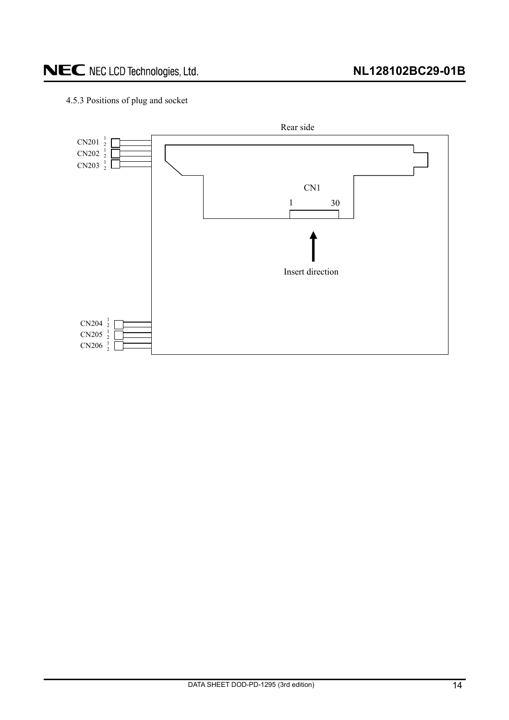<span id="page-13-0"></span>4.5.3 Positions of plug and socket

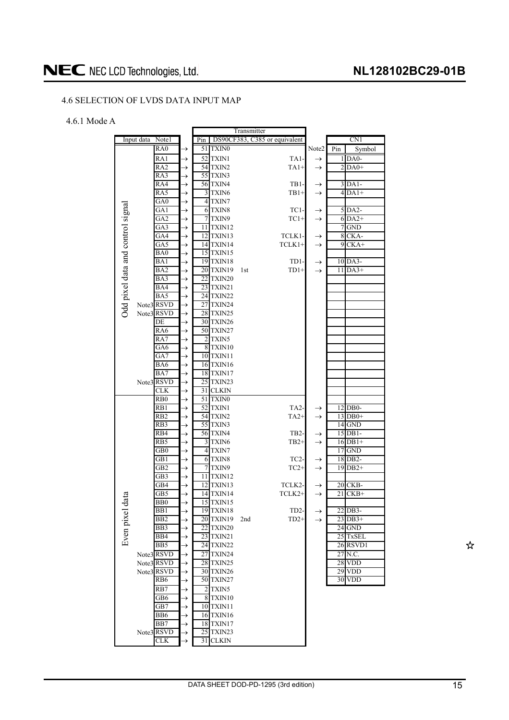### **NL128102BC29-01B**

# NEC NEC LCD Technologies, Ltd.

### <span id="page-14-0"></span>4.6 SELECTION OF LVDS DATA INPUT MAP

### <span id="page-14-1"></span>4.6.1 Mode A

|                                   |            |                 |               | Transmitter    |                  |     |                               |               |     |                 |  |  |  |
|-----------------------------------|------------|-----------------|---------------|----------------|------------------|-----|-------------------------------|---------------|-----|-----------------|--|--|--|
|                                   | Input data | Note1           |               | Pin            |                  |     | DS90CF383, C385 or equivalent |               |     | CN <sub>1</sub> |  |  |  |
|                                   |            | RA0             | $\rightarrow$ |                | 51 TXIN0         |     |                               | Note2         | Pin | Symbol          |  |  |  |
|                                   |            | RA1             | $\rightarrow$ | 52             | TXIN1            |     | $TA1-$                        | $\rightarrow$ |     | 1 DA0-          |  |  |  |
|                                   |            | RA2             | $\rightarrow$ |                | 54 TXIN2         |     | $TA1+$                        | $\rightarrow$ |     | $2$ DA0+        |  |  |  |
|                                   |            | RA3             | →             |                | <b>55 TXIN3</b>  |     |                               |               |     |                 |  |  |  |
|                                   |            | RA4             |               |                | <b>56 TXIN4</b>  |     | TB1-                          |               |     | 3 DA1-          |  |  |  |
|                                   |            |                 | →             |                |                  |     |                               | →             |     |                 |  |  |  |
|                                   |            | RA5             | $\rightarrow$ |                | 3 TXIN6          |     | $TB1+$                        | $\rightarrow$ |     | $4$ DA1+        |  |  |  |
|                                   |            | GA0             | →             |                | 4 TXIN7          |     |                               |               |     |                 |  |  |  |
|                                   |            | GA1             | →             |                | 6 TXIN8          |     | $TC1-$                        | $\rightarrow$ |     | 5 DA2-          |  |  |  |
|                                   |            | GA2             | $\rightarrow$ | $\overline{7}$ | TXIN9            |     | $TC1+$                        | $\rightarrow$ |     | $6$ DA2+        |  |  |  |
|                                   |            | G A3            | →             |                | 11 TXIN12        |     |                               |               |     | 7 GND           |  |  |  |
|                                   |            | GA4             | →             |                | 12 TXIN13        |     | TCLK1-                        | $\rightarrow$ |     | 8 CKA-          |  |  |  |
|                                   |            | GAS             | $\rightarrow$ |                | 14 TXIN14        |     | TCLK1+                        | $\rightarrow$ |     | $9$ CKA+        |  |  |  |
|                                   |            | BA0             | $\rightarrow$ |                | 15 TXIN15        |     |                               |               |     |                 |  |  |  |
|                                   |            | BA1             | →             |                | 19 TXIN18        |     | $TD1-$                        | $\rightarrow$ |     | 10 DA3-         |  |  |  |
|                                   |            | BA2             | →             |                | 20 TXIN19        | 1st | $TD1+$                        | $\rightarrow$ |     | $11$ DA3+       |  |  |  |
|                                   |            | BA3             | $\rightarrow$ |                | 22 TXIN20        |     |                               |               |     |                 |  |  |  |
|                                   |            | BA4             | →             |                | 23 TXIN21        |     |                               |               |     |                 |  |  |  |
|                                   |            | BA5             | →             |                | 24 TXIN22        |     |                               |               |     |                 |  |  |  |
|                                   |            | Note3 RSVD      | $\rightarrow$ |                | 27 TXIN24        |     |                               |               |     |                 |  |  |  |
| Odd pixel data and control signal |            | Note3 RSVD      | →             |                | <b>28 TXIN25</b> |     |                               |               |     |                 |  |  |  |
|                                   |            | DE              |               |                | 30 TXIN26        |     |                               |               |     |                 |  |  |  |
|                                   |            | RA6             | →             |                | 50 TXIN27        |     |                               |               |     |                 |  |  |  |
|                                   |            |                 | $\rightarrow$ |                |                  |     |                               |               |     |                 |  |  |  |
|                                   |            | RA7             | →             |                | 2 TXIN5          |     |                               |               |     |                 |  |  |  |
|                                   |            | GA6             | →             |                | 8 TXIN10         |     |                               |               |     |                 |  |  |  |
|                                   |            | GA7             | $\rightarrow$ |                | 10 TXIN11        |     |                               |               |     |                 |  |  |  |
|                                   |            | BA6             | →             |                | <b>16 TXIN16</b> |     |                               |               |     |                 |  |  |  |
|                                   |            | BA7             | →             |                | 18 TXIN17        |     |                               |               |     |                 |  |  |  |
|                                   |            | Note3 RSVD      | $\rightarrow$ |                | 25 TXIN23        |     |                               |               |     |                 |  |  |  |
|                                   |            | <b>CLK</b>      | →             |                | 31 CLKIN         |     |                               |               |     |                 |  |  |  |
|                                   |            | RB0             | →             |                | 51 TXIN0         |     |                               |               |     |                 |  |  |  |
|                                   |            | RB1             | $\rightarrow$ |                | <b>52 TXIN1</b>  |     | TA <sub>2</sub> -             | $\rightarrow$ |     | 12 DB0-         |  |  |  |
|                                   |            | RB2             | →             |                | 54 TXIN2         |     | $TA2+$                        | $\rightarrow$ |     | 13 DB0+         |  |  |  |
|                                   |            | RB3             | →             |                | <b>55 TXIN3</b>  |     |                               |               |     | 14 GND          |  |  |  |
|                                   |            | RB4             | $\rightarrow$ |                | <b>56 TXIN4</b>  |     | TB <sub>2</sub> -             | $\rightarrow$ |     | 15 DB1-         |  |  |  |
|                                   |            | R <sub>B5</sub> | →             |                | 3 TXIN6          |     | $TB2+$                        | $\rightarrow$ |     | $16$ DB1+       |  |  |  |
|                                   |            | GB <sub>0</sub> | →             |                | 4 TXIN7          |     |                               |               |     | 17 GND          |  |  |  |
|                                   |            | GB1             | $\rightarrow$ |                | 6 TXIN8          |     | TC <sub>2</sub> -             | $\rightarrow$ |     | 18 DB2-         |  |  |  |
|                                   |            | GB <sub>2</sub> | $\rightarrow$ |                | 7 TXIN9          |     | $TC2+$                        | $\rightarrow$ |     | 19 DB2+         |  |  |  |
|                                   |            | GB3             | $\rightarrow$ |                | 11 TXIN12        |     |                               |               |     |                 |  |  |  |
|                                   |            | GB4             | $\rightarrow$ |                | 12 TXIN13        |     | TCLK2-                        | $\rightarrow$ |     | 20 CKB-         |  |  |  |
|                                   |            | GB5             | $\rightarrow$ |                | 14 TXIN14        |     | TCLK2+                        | $\rightarrow$ | 21  | $CKB+$          |  |  |  |
| data                              |            |                 |               |                | 15 TXIN15        |     |                               |               |     |                 |  |  |  |
|                                   |            | B <sub>B</sub>  | $\rightarrow$ |                | 19 TXIN18        |     |                               |               |     | 22 DB3-         |  |  |  |
|                                   |            | BB1             | →             |                |                  |     | TD <sub>2</sub> -             |               |     |                 |  |  |  |
|                                   |            | BB2             | →             |                | 20 TXIN19        | 2nd | $TD2+$                        | $\rightarrow$ |     | $23$ DB3+       |  |  |  |
|                                   |            | BB3             | →             |                | 22 TXIN20        |     |                               |               |     | 24 GND          |  |  |  |
| Even pixel                        |            | BB4             | →             |                | 23 TXIN21        |     |                               |               |     | 25 TxSEL        |  |  |  |
|                                   |            | BB5             | →             |                | 24 TXIN22        |     |                               |               |     | 26 RSVD1        |  |  |  |
|                                   |            | Note3 RSVD      | →             |                | 27 TXIN24        |     |                               |               |     | 27 N.C.         |  |  |  |
|                                   |            | Note3 RSVD      | $\rightarrow$ |                | 28 TXIN25        |     |                               |               |     | 28 VDD          |  |  |  |
|                                   |            | Note3 RSVD      | $\rightarrow$ |                | 30 TXIN26        |     |                               |               |     | 29 VDD          |  |  |  |
|                                   |            | RB6             | →             |                | 50 TXIN27        |     |                               |               |     | 30 VDD          |  |  |  |
|                                   |            | RB7             | →             |                | 2 TXIN5          |     |                               |               |     |                 |  |  |  |
|                                   |            | GB6             | $\rightarrow$ |                | <b>8 TXIN10</b>  |     |                               |               |     |                 |  |  |  |
|                                   |            | GB7             | $\rightarrow$ |                | 10 TXIN11        |     |                               |               |     |                 |  |  |  |
|                                   |            | BB6             | →             |                | 16 TXIN16        |     |                               |               |     |                 |  |  |  |
|                                   |            | BB7             | →             |                | 18 TXIN17        |     |                               |               |     |                 |  |  |  |
|                                   |            | Note3 RSVD      |               | 25             | TXIN23           |     |                               |               |     |                 |  |  |  |
|                                   |            |                 | →             |                |                  |     |                               |               |     |                 |  |  |  |
|                                   |            | <b>CLK</b>      | →             |                | 31 CLKIN         |     |                               |               |     |                 |  |  |  |

☆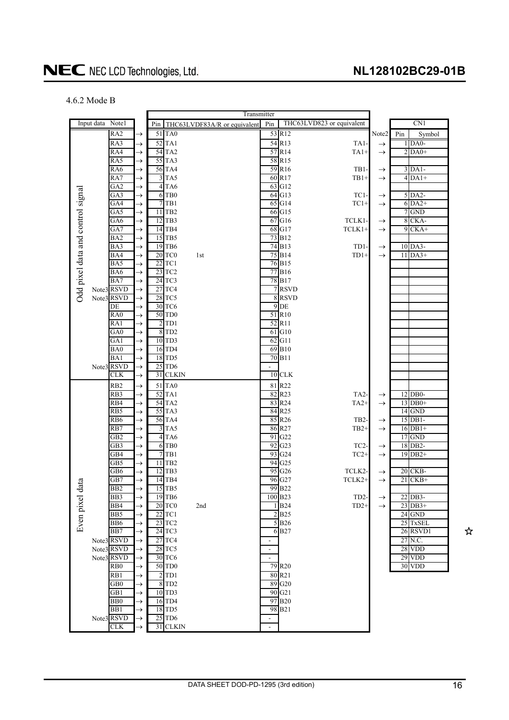### **NL128102BC29-01B**

### <span id="page-15-0"></span>4.6.2 Mode B

|  |                                   |       |                 |               |        | Transmitter                  |                          |                                                    |               |     |                   |
|--|-----------------------------------|-------|-----------------|---------------|--------|------------------------------|--------------------------|----------------------------------------------------|---------------|-----|-------------------|
|  | Input data Notel                  |       |                 |               | Pin    | THC63LVDF83A/R or equivalent | Pin                      | THC63LVD823 or equivalent                          |               |     | CN1               |
|  |                                   |       | RA <sub>2</sub> | $\rightarrow$ | 51     | TA <sub>0</sub>              |                          | 53 R12                                             | Note2         | Pin | Symbol            |
|  |                                   |       | RA3             | $\rightarrow$ |        | 52 TA1                       |                          | 54 R13<br>TA1-                                     | $\rightarrow$ |     | $1$ DA0-          |
|  |                                   |       | RA4             |               |        | 54 TA2                       |                          | 57 R14<br>$TA1+$                                   |               |     | $2$ DA0+          |
|  |                                   |       |                 | $\rightarrow$ |        |                              |                          |                                                    | $\rightarrow$ |     |                   |
|  |                                   |       | RA5             | $\rightarrow$ |        | 55 TA3                       |                          | 58 R15                                             |               |     |                   |
|  |                                   |       | RA6             | $\rightarrow$ |        | 56 TA4                       |                          | 59 R16<br>TB1-                                     | $\rightarrow$ |     | $3$ DA1-          |
|  |                                   |       | RA7             | $\rightarrow$ |        | $3$ TA5                      |                          | 60 R17<br>$TB1+$                                   | $\rightarrow$ |     | $4DA1+$           |
|  |                                   |       | GA <sub>2</sub> | $\rightarrow$ |        | $4$ TA6                      |                          | 63 G12                                             |               |     |                   |
|  |                                   |       | GA3             | $\rightarrow$ |        | $6$ TB <sub>0</sub>          |                          | 64 G13<br>$TC1-$                                   | $\rightarrow$ |     | $5$ DA2-          |
|  |                                   |       | GA4             | $\rightarrow$ | $\tau$ | TB1                          |                          | 65 G14<br>$TC1+$                                   | $\rightarrow$ |     | $6$ DA2+          |
|  |                                   |       | GA5             | $\rightarrow$ |        | 11 TB2                       |                          | 66 G15                                             |               | 7   | <b>GND</b>        |
|  |                                   |       | GA6             | $\rightarrow$ |        | 12 TB3                       |                          | 67 G16<br>TCLK1-                                   | $\rightarrow$ | 8   | CKA-              |
|  |                                   |       | GA7             | $\rightarrow$ |        | 14 TB4                       |                          | 68 G17<br>TCLK1+                                   | $\rightarrow$ | 9   | $CKA+$            |
|  |                                   |       | BA2             | $\rightarrow$ |        | $15$ TB5                     |                          | 73 B12                                             |               |     |                   |
|  |                                   |       | BA3             | $\rightarrow$ |        | 19 TB6                       |                          | 74 B13<br>TD1-                                     | $\rightarrow$ |     | 10 DA3-           |
|  |                                   |       | BA4             | $\rightarrow$ |        | $20$ TC <sub>0</sub><br>1st  |                          | 75 B14<br>$TD1+$                                   | $\rightarrow$ | 11  | $DA3+$            |
|  |                                   |       | BA5             | $\rightarrow$ |        | 22 TC1                       |                          | 76 B15                                             |               |     |                   |
|  |                                   |       | BA6             | $\rightarrow$ |        | 23 TC <sub>2</sub>           |                          | 77 B16                                             |               |     |                   |
|  |                                   |       | BA7             | $\rightarrow$ |        | $24$ TC3                     |                          | 78 B17                                             |               |     |                   |
|  | Odd pixel data and control signal |       | Note3 RSVD      | $\rightarrow$ |        | $27$ TC4                     |                          | 7RSVD                                              |               |     |                   |
|  |                                   | Note3 | <b>RSVD</b>     | $\rightarrow$ |        | $28$ TC5                     |                          | 8 RSVD                                             |               |     |                   |
|  |                                   |       | DE              | $\rightarrow$ |        | 30 TC6                       |                          | $9$ DE                                             |               |     |                   |
|  |                                   |       | RA <sub>0</sub> | $\rightarrow$ |        | 50 TD0                       |                          | 51 R10                                             |               |     |                   |
|  |                                   |       | RA1             | $\rightarrow$ |        | $2$ TD1                      |                          | 52 R11                                             |               |     |                   |
|  |                                   |       | GA0             | $\rightarrow$ |        | 8TD <sub>2</sub>             |                          | $61$ G10                                           |               |     |                   |
|  |                                   |       | GA1             | $\rightarrow$ |        | 10 TD3                       |                          | 62 G11                                             |               |     |                   |
|  |                                   |       | BA0             | $\rightarrow$ |        | 16 TD4                       |                          | 69 B10                                             |               |     |                   |
|  |                                   |       | BA1             | $\rightarrow$ |        | 18 TD5                       |                          | 70 B11                                             |               |     |                   |
|  |                                   |       | Note3 RSVD      | $\rightarrow$ |        | 25 TD6                       | $\overline{\phantom{a}}$ |                                                    |               |     |                   |
|  |                                   |       | CLK             | $\rightarrow$ | 31     | <b>CLKIN</b>                 |                          | $10$ CLK                                           |               |     |                   |
|  |                                   |       | RB <sub>2</sub> | $\rightarrow$ |        | 51 TA0                       |                          | 81 R22                                             |               |     |                   |
|  |                                   |       | RB3             | $\rightarrow$ |        | 52 TA1                       |                          | 82 R23<br>TA <sub>2</sub> -                        | $\rightarrow$ | 12  | DB <sub>0</sub> - |
|  |                                   |       | RB4             | $\rightarrow$ |        | 54 TA2                       |                          | 83 R <sub>24</sub><br>$TA2+$                       | $\rightarrow$ | 13  | $DB0+$            |
|  |                                   |       | RB5             | $\rightarrow$ |        | 55 TA3                       |                          | 84 R25                                             |               | 14  | <b>GND</b>        |
|  |                                   |       | RB6             | $\rightarrow$ |        | 56 TA4                       |                          | 85 R26<br>TB <sub>2</sub> -                        |               | 15  | $DB1-$            |
|  |                                   |       | RB7             |               |        | $3$ TA5                      |                          | 86 R27<br>$TB2+$                                   | $\rightarrow$ |     | $16$ DB1+         |
|  |                                   |       | GB <sub>2</sub> | $\rightarrow$ |        | 4TA6                         |                          | 91 G22                                             | $\rightarrow$ | 17  | <b>GND</b>        |
|  |                                   |       | GB3             | $\rightarrow$ |        | $6$ TB0                      |                          | $92$ G <sub>23</sub>                               |               | 18  | DB <sub>2</sub> - |
|  |                                   |       | GB4             | $\rightarrow$ |        | $7$ TB1                      |                          | TC <sub>2</sub> -<br>93 G <sub>24</sub><br>$TC2+$  | $\rightarrow$ | 19  | $DB2+$            |
|  |                                   |       | GB5             | $\rightarrow$ |        | 11 TB <sub>2</sub>           |                          | 94 G25                                             | $\rightarrow$ |     |                   |
|  |                                   |       |                 | $\rightarrow$ |        |                              |                          |                                                    |               |     |                   |
|  |                                   |       | GB6             | $\rightarrow$ |        | 12 TB3                       |                          | 95 G <sub>26</sub><br>TCLK2-                       | $\rightarrow$ |     | 20 CKB-           |
|  | data                              |       | GB7             | $\rightarrow$ |        | 14 TB4<br>$15$ TB5           |                          | 96 G <sub>27</sub><br>TCLK2+<br>99 B <sub>22</sub> | $\rightarrow$ | 21  | $CKB+$            |
|  |                                   |       | BB2             | $\rightarrow$ |        |                              |                          |                                                    |               |     |                   |
|  | Even pixel                        |       | BB3             | $\rightarrow$ |        | 19 TB6                       |                          | 100 <sub>B23</sub><br>TD <sub>2</sub> -            | $\rightarrow$ |     | 22 DB3-           |
|  |                                   |       | BB4             | $\rightarrow$ |        | <b>20 TC0</b><br>2nd         |                          | $1$ B <sub>24</sub><br>$TD2+$                      | $\rightarrow$ | 23  | $DB3+$            |
|  |                                   |       | BB5             | $\rightarrow$ |        | $22$ TC1                     |                          | $2$ <sub>B25</sub>                                 |               |     | 24 GND            |
|  |                                   |       | BB6             | $\rightarrow$ |        | $23$ TC <sub>2</sub>         |                          | 5B26                                               |               |     | 25 TxSEL          |
|  |                                   |       | BB7             | $\rightarrow$ |        | 24 TC3                       |                          | 6B27                                               |               |     | 26 RSVD1          |
|  |                                   |       | Note3 RSVD      | $\rightarrow$ |        | 27 TC4                       | $\overline{\phantom{a}}$ |                                                    |               | 27  | N.C.              |
|  |                                   |       | Note3 RSVD      | $\rightarrow$ |        | 28 TC5                       | $\overline{\phantom{a}}$ |                                                    |               |     | 28 VDD            |
|  |                                   |       | Note3 RSVD      | $\rightarrow$ |        | 30 TC6                       | $\overline{\phantom{a}}$ |                                                    |               | 29  | <b>VDD</b>        |
|  |                                   |       | RB0             | $\rightarrow$ |        | 50 TD <sub>0</sub>           |                          | 79 R <sub>20</sub>                                 |               |     | 30 VDD            |
|  |                                   |       | RB1             | $\rightarrow$ |        | $2$ TD1                      |                          | 80 R21                                             |               |     |                   |
|  |                                   |       | GB <sub>0</sub> | $\rightarrow$ |        | 8 TD2                        |                          | 89 G <sub>20</sub>                                 |               |     |                   |
|  |                                   |       | GB1             | $\rightarrow$ |        | $10$ TD3                     |                          | 90 G <sub>21</sub>                                 |               |     |                   |
|  |                                   |       | B <sub>B</sub>  | $\rightarrow$ |        | $16$ TD4                     |                          | 97 B <sub>20</sub>                                 |               |     |                   |
|  |                                   |       | BB1             | $\rightarrow$ |        | 18 TD5                       |                          | 98 B <sub>21</sub>                                 |               |     |                   |
|  |                                   |       | Note3 RSVD      | $\rightarrow$ |        | 25 TD6                       | $\overline{a}$           |                                                    |               |     |                   |
|  |                                   |       | <b>CLK</b>      | $\rightarrow$ |        | 31 CLKIN                     | $\overline{a}$           |                                                    |               |     |                   |
|  |                                   |       |                 |               |        |                              |                          |                                                    |               |     |                   |

 $\boldsymbol{\vec{x}}$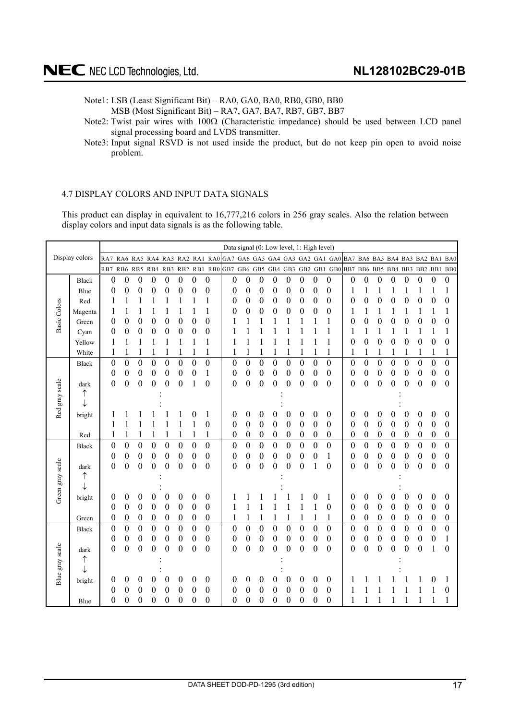Note1: LSB (Least Significant Bit) – RA0, GA0, BA0, RB0, GB0, BB0 MSB (Most Significant Bit) – RA7, GA7, BA7, RB7, GB7, BB7

- Note2: Twist pair wires with  $100\Omega$  (Characteristic impedance) should be used between LCD panel signal processing board and LVDS transmitter.
- Note3: Input signal RSVD is not used inside the product, but do not keep pin open to avoid noise problem.

### <span id="page-16-0"></span>4.7 DISPLAY COLORS AND INPUT DATA SIGNALS

This product can display in equivalent to 16,777,216 colors in 256 gray scales. Also the relation between display colors and input data signals is as the following table.

|                  |                |                                    |                                    |                                    |                                      |                                    |                                      |                                      |                                                                                             |                                  |                                    |                                    |                                      | Data signal (0: Low level, 1: High level) |                                      |                                    |                                |                              |                                    |                                    |                                    |                                    |                         |                                    |                                      |
|------------------|----------------|------------------------------------|------------------------------------|------------------------------------|--------------------------------------|------------------------------------|--------------------------------------|--------------------------------------|---------------------------------------------------------------------------------------------|----------------------------------|------------------------------------|------------------------------------|--------------------------------------|-------------------------------------------|--------------------------------------|------------------------------------|--------------------------------|------------------------------|------------------------------------|------------------------------------|------------------------------------|------------------------------------|-------------------------|------------------------------------|--------------------------------------|
|                  | Display colors | RA7                                |                                    |                                    |                                      |                                    |                                      |                                      | RA6 RA5 RA4 RA3 RA2 RA1 RA0 GA7 GA6 GA5 GA4 GA3 GA2 GA1 GA0 BA7 BA6 BA5 BA4 BA3 BA2 BA1 BA0 |                                  |                                    |                                    |                                      |                                           |                                      |                                    |                                |                              |                                    |                                    |                                    |                                    |                         |                                    |                                      |
|                  |                | RB7                                |                                    | RB6 RB5                            |                                      |                                    |                                      |                                      | RB4 RB3 RB2 RB1 RB0 GB7 GB6 GB5 GB4 GB3 GB2 GB1 GB0 BB7                                     |                                  |                                    |                                    |                                      |                                           |                                      |                                    |                                |                              |                                    |                                    |                                    |                                    | BB6 BB5 BB4 BB3 BB2 BB1 |                                    | B <sub>B0</sub>                      |
|                  | <b>Black</b>   | 0                                  | 0                                  | $\boldsymbol{0}$                   | $\boldsymbol{0}$                     | 0                                  | 0                                    | $\boldsymbol{0}$                     | $\boldsymbol{0}$                                                                            | 0                                | $\theta$                           | $\boldsymbol{0}$                   | $\boldsymbol{0}$                     | $\boldsymbol{0}$                          | $\boldsymbol{0}$                     | $\boldsymbol{0}$                   | 0                              | 0                            | 0                                  | 0                                  | $\boldsymbol{0}$                   | $\boldsymbol{0}$                   | 0                       | $\theta$                           | $\boldsymbol{0}$                     |
|                  | Blue           | 0                                  | 0                                  | 0                                  | 0                                    | 0                                  | $\boldsymbol{0}$                     | $\boldsymbol{0}$                     | $\boldsymbol{0}$                                                                            | 0                                | $\boldsymbol{0}$                   | $\boldsymbol{0}$                   | 0                                    | $\boldsymbol{0}$                          | $\boldsymbol{0}$                     | $\boldsymbol{0}$                   | 0                              |                              | 1                                  |                                    | 1                                  |                                    |                         | 1                                  | 1                                    |
|                  | Red            |                                    |                                    |                                    |                                      |                                    |                                      | 1                                    | 1                                                                                           | 0                                | 0                                  | $\boldsymbol{0}$                   | $\boldsymbol{0}$                     | $\boldsymbol{0}$                          | $\boldsymbol{0}$                     | $\boldsymbol{0}$                   | 0                              | 0                            | $\boldsymbol{0}$                   | 0                                  | $\boldsymbol{0}$                   | $\boldsymbol{0}$                   | 0                       | 0                                  | $\boldsymbol{0}$                     |
| Basic Colors     | Magenta        | 1                                  |                                    |                                    |                                      |                                    |                                      | 1                                    | 1                                                                                           | 0                                | $\boldsymbol{0}$                   | $\boldsymbol{0}$                   | $\boldsymbol{0}$                     | $\boldsymbol{0}$                          | $\boldsymbol{0}$                     | $\boldsymbol{0}$                   | $\boldsymbol{0}$               |                              | 1                                  |                                    | 1                                  |                                    |                         | 1                                  | 1                                    |
|                  | Green          | 0                                  | 0                                  | 0                                  | $\boldsymbol{0}$                     | $\pmb{0}$                          | 0                                    | $\boldsymbol{0}$                     | $\overline{0}$                                                                              |                                  |                                    | 1                                  |                                      | 1                                         | 1                                    | 1                                  | $\mathbf{1}$                   | 0                            | $\pmb{0}$                          | 0                                  | $\boldsymbol{0}$                   | $\boldsymbol{0}$                   | 0                       | 0                                  | $\boldsymbol{0}$                     |
|                  | Cyan           | 0                                  | 0                                  | 0                                  | 0                                    | $\boldsymbol{0}$                   | 0                                    | $\boldsymbol{0}$                     | $\boldsymbol{0}$                                                                            |                                  |                                    |                                    |                                      |                                           |                                      |                                    | $\mathbf{1}$                   |                              | 1                                  | 1                                  | 1                                  | 1                                  |                         | 1                                  | 1                                    |
|                  | Yellow         | 1                                  |                                    |                                    | 1                                    | 1                                  | 1                                    | 1                                    | 1                                                                                           |                                  |                                    | 1                                  |                                      |                                           | 1                                    | 1                                  | $\mathbf{1}$                   | 0                            | $\boldsymbol{0}$                   | 0                                  | $\boldsymbol{0}$                   | $\boldsymbol{0}$                   | 0                       | 0                                  | $\boldsymbol{0}$                     |
|                  | White          | 1                                  |                                    |                                    | 1                                    |                                    |                                      | 1                                    | 1                                                                                           | 1                                |                                    | 1                                  |                                      |                                           | 1                                    | 1                                  | $\mathbf{1}$                   |                              | $\mathbf{1}$                       | 1                                  | 1                                  | 1                                  |                         | 1                                  | $\mathbf{1}$                         |
|                  | <b>Black</b>   | $\boldsymbol{0}$                   | $\boldsymbol{0}$                   | $\boldsymbol{0}$                   | $\boldsymbol{0}$                     | $\overline{0}$                     | $\overline{0}$                       | $\boldsymbol{0}$                     | $\overline{0}$                                                                              | $\boldsymbol{0}$                 | $\boldsymbol{0}$                   | $\overline{0}$                     | $\boldsymbol{0}$                     | $\overline{0}$                            | $\mathbf{0}$                         | $\overline{0}$                     | $\overline{0}$                 | $\boldsymbol{0}$             | $\overline{0}$                     | $\boldsymbol{0}$                   | $\overline{0}$                     | $\overline{0}$                     | $\theta$                | $\boldsymbol{0}$                   | $\boldsymbol{0}$                     |
|                  |                | $\boldsymbol{0}$                   | $\boldsymbol{0}$                   | $\boldsymbol{0}$                   | $\boldsymbol{0}$                     | $\boldsymbol{0}$                   | $\boldsymbol{0}$                     | $\boldsymbol{0}$                     | $\mathbf{1}$                                                                                | $\boldsymbol{0}$                 | $\boldsymbol{0}$                   | $\boldsymbol{0}$                   | 0                                    | 0                                         | $\boldsymbol{0}$                     | $\boldsymbol{0}$                   | 0                              | $\boldsymbol{0}$             | $\boldsymbol{0}$                   | $\boldsymbol{0}$                   | $\boldsymbol{0}$                   | $\boldsymbol{0}$                   | 0                       | 0                                  | $\boldsymbol{0}$                     |
|                  | ${\rm dark}$   | $\overline{0}$                     | $\overline{0}$                     | $\overline{0}$                     | $\boldsymbol{0}$                     | $\overline{0}$                     | $\overline{0}$                       | 1                                    | $\overline{0}$                                                                              | $\boldsymbol{0}$                 | $\boldsymbol{0}$                   | $\overline{0}$                     | $\overline{0}$                       | $\overline{0}$                            | $\boldsymbol{0}$                     | $\overline{0}$                     | $\overline{0}$                 | $\boldsymbol{0}$             | $\overline{0}$                     | $\boldsymbol{0}$                   | $\theta$                           | $\overline{0}$                     | 0                       | $\boldsymbol{0}$                   | $\boldsymbol{0}$                     |
| Red gray scale   | ↑              |                                    |                                    |                                    |                                      |                                    |                                      |                                      |                                                                                             |                                  |                                    |                                    |                                      |                                           |                                      |                                    |                                |                              |                                    |                                    |                                    |                                    |                         |                                    |                                      |
|                  | ↓              |                                    |                                    |                                    |                                      |                                    |                                      |                                      |                                                                                             |                                  |                                    |                                    |                                      |                                           |                                      |                                    |                                |                              |                                    |                                    |                                    |                                    |                         |                                    |                                      |
|                  | bright         |                                    |                                    |                                    |                                      |                                    |                                      | 0                                    | 1                                                                                           | 0                                | 0                                  | $\boldsymbol{0}$                   | 0                                    | 0                                         | $\boldsymbol{0}$                     | 0                                  | 0                              | 0                            | $\boldsymbol{0}$                   | 0                                  | 0                                  | 0                                  | 0                       | $\boldsymbol{0}$                   | $\boldsymbol{0}$                     |
|                  |                |                                    |                                    |                                    |                                      |                                    |                                      | 1                                    | $\boldsymbol{0}$                                                                            | $\theta$                         | $\boldsymbol{0}$                   | $\boldsymbol{0}$                   | $\theta$                             | $\boldsymbol{0}$                          | $\boldsymbol{0}$                     | $\boldsymbol{0}$                   | $\theta$                       | 0                            | $\boldsymbol{0}$                   | $\boldsymbol{0}$                   | $\boldsymbol{0}$                   | $\boldsymbol{0}$                   | $\theta$                | $\boldsymbol{0}$                   | $\boldsymbol{0}$                     |
|                  | Red            | 1                                  |                                    | 1                                  | 1                                    | 1                                  | 1                                    | 1                                    | $\mathbf{1}$                                                                                | $\theta$                         | 0                                  | $\boldsymbol{0}$                   | 0                                    | 0                                         | $\boldsymbol{0}$                     | $\boldsymbol{0}$                   | 0                              | 0                            | $\boldsymbol{0}$                   | $\boldsymbol{0}$                   | $\boldsymbol{0}$                   | $\boldsymbol{0}$                   | 0                       | 0                                  | $\boldsymbol{0}$                     |
|                  | <b>Black</b>   | $\boldsymbol{0}$                   | $\boldsymbol{0}$                   | $\mathbf{0}$                       | $\boldsymbol{0}$                     | $\overline{0}$                     | $\boldsymbol{0}$                     | $\boldsymbol{0}$                     | $\overline{0}$                                                                              | $\boldsymbol{0}$                 | $\mathbf{0}$                       | $\boldsymbol{0}$                   | $\boldsymbol{0}$                     | $\boldsymbol{0}$                          | $\boldsymbol{0}$                     | $\overline{0}$                     | $\overline{0}$                 | $\boldsymbol{0}$             | $\boldsymbol{0}$                   | $\overline{0}$                     | $\mathbf{0}$                       | $\overline{0}$                     | $\boldsymbol{0}$        | $\mathbf{0}$                       | $\boldsymbol{0}$                     |
|                  |                | $\boldsymbol{0}$                   | $\boldsymbol{0}$                   | $\boldsymbol{0}$                   | $\boldsymbol{0}$                     | $\boldsymbol{0}$                   | $\boldsymbol{0}$                     | $\boldsymbol{0}$                     | $\boldsymbol{0}$                                                                            | $\boldsymbol{0}$                 | $\boldsymbol{0}$                   | $\boldsymbol{0}$                   | $\boldsymbol{0}$                     | $\boldsymbol{0}$                          | $\boldsymbol{0}$                     | $\boldsymbol{0}$                   | $\mathbf{1}$                   | $\boldsymbol{0}$             | $\boldsymbol{0}$                   | $\boldsymbol{0}$                   | $\boldsymbol{0}$                   | $\boldsymbol{0}$                   | $\boldsymbol{0}$        | $\boldsymbol{0}$                   | $\boldsymbol{0}$                     |
|                  | dark           | $\overline{0}$                     | $\overline{0}$                     | $\boldsymbol{0}$                   | $\overline{0}$                       | $\overline{0}$                     | $\overline{0}$                       | $\boldsymbol{0}$                     | $\overline{0}$                                                                              | $\boldsymbol{0}$                 | $\boldsymbol{0}$                   | $\overline{0}$                     | $\overline{0}$                       | $\overline{0}$                            | $\boldsymbol{0}$                     | $\mathbf{1}$                       | $\overline{0}$                 | $\boldsymbol{0}$             | $\overline{0}$                     | $\overline{0}$                     | $\overline{0}$                     | $\overline{0}$                     | $\boldsymbol{0}$        | $\boldsymbol{0}$                   | $\boldsymbol{0}$                     |
| Green gray scale | ↑<br>J         |                                    |                                    |                                    |                                      |                                    |                                      |                                      |                                                                                             |                                  |                                    |                                    |                                      |                                           |                                      |                                    |                                |                              |                                    |                                    |                                    |                                    |                         |                                    |                                      |
|                  |                |                                    |                                    |                                    |                                      |                                    |                                      |                                      |                                                                                             |                                  |                                    |                                    |                                      |                                           |                                      |                                    |                                |                              |                                    |                                    |                                    |                                    |                         |                                    |                                      |
|                  | bright         | 0                                  | 0                                  | $\boldsymbol{0}$                   | $\theta$                             | $\boldsymbol{0}$                   | 0                                    | 0                                    | $\boldsymbol{0}$                                                                            |                                  |                                    |                                    |                                      |                                           |                                      | 0                                  | 1                              | $\boldsymbol{0}$             | $\boldsymbol{0}$                   | 0                                  | 0                                  | 0                                  | 0                       | $\boldsymbol{0}$                   | $\boldsymbol{0}$                     |
|                  |                | $\boldsymbol{0}$                   | $\boldsymbol{0}$                   | $\theta$                           | $\theta$                             | 0                                  | $\theta$                             | $\boldsymbol{0}$                     | $\boldsymbol{0}$                                                                            |                                  |                                    |                                    |                                      | 1                                         |                                      | 1                                  | 0                              | 0                            | $\boldsymbol{0}$                   | $\overline{0}$                     | $\boldsymbol{0}$                   | 0                                  | $\theta$                | $\theta$                           | $\boldsymbol{0}$                     |
|                  | Green          | 0                                  | $\boldsymbol{0}$                   | $\boldsymbol{0}$<br>$\overline{0}$ | $\boldsymbol{0}$<br>$\boldsymbol{0}$ | $\boldsymbol{0}$<br>$\overline{0}$ | $\boldsymbol{0}$<br>$\boldsymbol{0}$ | $\boldsymbol{0}$<br>$\overline{0}$   | $\boldsymbol{0}$<br>$\overline{0}$                                                          | 1                                | $\boldsymbol{0}$                   | 1<br>$\overline{0}$                |                                      | $\overline{0}$                            | 1<br>$\overline{0}$                  | 1<br>$\overline{0}$                | $\mathbf{1}$<br>$\overline{0}$ | $\boldsymbol{0}$             | $\boldsymbol{0}$<br>$\overline{0}$ | 0<br>$\boldsymbol{0}$              | $\boldsymbol{0}$<br>$\overline{0}$ | $\boldsymbol{0}$<br>$\overline{0}$ | $\boldsymbol{0}$        | $\boldsymbol{0}$<br>$\overline{0}$ | $\boldsymbol{0}$<br>$\boldsymbol{0}$ |
|                  | <b>Black</b>   | $\boldsymbol{0}$                   | $\boldsymbol{0}$                   |                                    |                                      |                                    |                                      |                                      |                                                                                             | $\boldsymbol{0}$                 |                                    |                                    | $\boldsymbol{0}$                     |                                           |                                      |                                    |                                | $\boldsymbol{0}$             |                                    |                                    |                                    |                                    | $\boldsymbol{0}$        |                                    |                                      |
|                  |                | $\boldsymbol{0}$<br>$\overline{0}$ | $\boldsymbol{0}$<br>$\overline{0}$ | $\boldsymbol{0}$<br>$\overline{0}$ | $\boldsymbol{0}$<br>$\overline{0}$   | $\boldsymbol{0}$<br>$\overline{0}$ | $\boldsymbol{0}$<br>$\boldsymbol{0}$ | $\boldsymbol{0}$<br>$\boldsymbol{0}$ | $\boldsymbol{0}$<br>$\overline{0}$                                                          | $\boldsymbol{0}$<br>$\mathbf{0}$ | $\boldsymbol{0}$<br>$\overline{0}$ | $\boldsymbol{0}$<br>$\overline{0}$ | $\boldsymbol{0}$<br>$\boldsymbol{0}$ | $\boldsymbol{0}$<br>$\overline{0}$        | $\boldsymbol{0}$<br>$\boldsymbol{0}$ | $\boldsymbol{0}$<br>$\overline{0}$ | $\boldsymbol{0}$<br>$\theta$   | $\boldsymbol{0}$<br>$\theta$ | $\boldsymbol{0}$<br>$\overline{0}$ | $\boldsymbol{0}$<br>$\overline{0}$ | $\boldsymbol{0}$<br>$\theta$       | $\boldsymbol{0}$<br>$\overline{0}$ | 0<br>$\theta$           | $\boldsymbol{0}$<br>1              | 1<br>$\overline{0}$                  |
|                  | dark           |                                    |                                    |                                    |                                      |                                    |                                      |                                      |                                                                                             |                                  |                                    |                                    |                                      |                                           |                                      |                                    |                                |                              |                                    |                                    |                                    |                                    |                         |                                    |                                      |
|                  | ↑<br>↓         |                                    |                                    |                                    |                                      |                                    |                                      |                                      |                                                                                             |                                  |                                    |                                    |                                      |                                           |                                      |                                    |                                |                              |                                    |                                    |                                    |                                    |                         |                                    |                                      |
| Blue gray scale  |                | 0                                  |                                    | 0                                  |                                      |                                    | 0                                    |                                      |                                                                                             |                                  | $\theta$                           |                                    |                                      |                                           |                                      |                                    |                                |                              |                                    |                                    |                                    |                                    |                         |                                    |                                      |
|                  | bright         | 0                                  | 0<br>0                             | $\boldsymbol{0}$                   | $\bf{0}$<br>$\theta$                 | 0<br>$\boldsymbol{0}$              | $\overline{0}$                       | $\boldsymbol{0}$<br>$\boldsymbol{0}$ | 0<br>$\boldsymbol{0}$                                                                       | 0<br>0                           | $\boldsymbol{0}$                   | 0<br>$\boldsymbol{0}$              | 0<br>0                               | $\theta$<br>$\boldsymbol{0}$              | $\boldsymbol{0}$<br>$\boldsymbol{0}$ | 0<br>$\boldsymbol{0}$              | 0<br>0                         |                              |                                    |                                    |                                    |                                    |                         | 0                                  | $\theta$                             |
|                  |                | 0                                  | 0                                  | $\boldsymbol{0}$                   | $\boldsymbol{0}$                     | $\boldsymbol{0}$                   | $\boldsymbol{0}$                     | $\boldsymbol{0}$                     | $\boldsymbol{0}$                                                                            | $\theta$                         | $\theta$                           | $\boldsymbol{0}$                   | $\boldsymbol{0}$                     | $\boldsymbol{0}$                          | $\boldsymbol{0}$                     | $\boldsymbol{0}$                   | 0                              |                              |                                    |                                    |                                    |                                    |                         |                                    | 1                                    |
|                  | Blue           |                                    |                                    |                                    |                                      |                                    |                                      |                                      |                                                                                             |                                  |                                    |                                    |                                      |                                           |                                      |                                    |                                |                              |                                    |                                    |                                    |                                    |                         |                                    |                                      |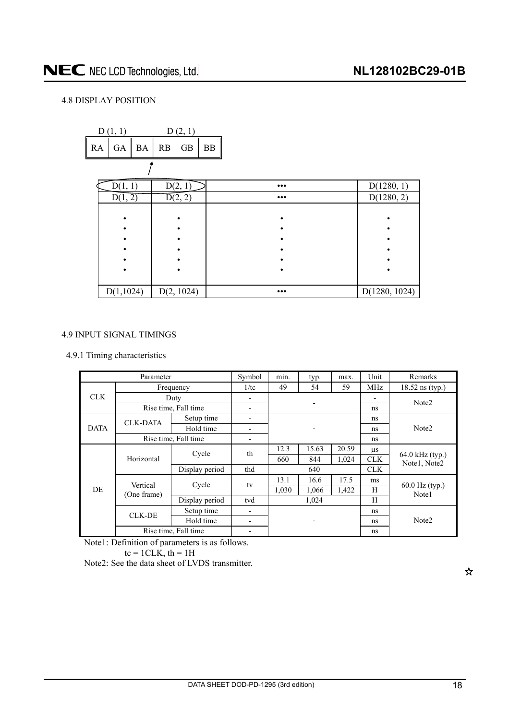### <span id="page-17-0"></span>4.8 DISPLAY POSITION



### <span id="page-17-1"></span>4.9 INPUT SIGNAL TIMINGS

### <span id="page-17-2"></span>4.9.1 Timing characteristics

|             | Parameter            |                      | Symbol                   | min.  | typ.                     | max.  | Unit       | Remarks                   |  |
|-------------|----------------------|----------------------|--------------------------|-------|--------------------------|-------|------------|---------------------------|--|
|             |                      | Frequency            | 1/tc                     | 49    | 54                       | 59    | MHz        | $18.52$ ns (typ.)         |  |
| <b>CLK</b>  |                      | Duty                 |                          |       | $\overline{\phantom{0}}$ |       |            | Note <sub>2</sub>         |  |
|             |                      | Rise time, Fall time |                          |       |                          |       | ns         |                           |  |
|             | <b>CLK-DATA</b>      | Setup time           |                          |       |                          |       | ns         |                           |  |
| <b>DATA</b> |                      | Hold time            |                          |       |                          |       | ns         | Note <sub>2</sub>         |  |
|             | Rise time, Fall time |                      |                          |       |                          | ns    |            |                           |  |
|             |                      | Cycle                | th                       | 12.3  | 15.63                    | 20.59 | μs         | 64.0 kHz (typ.)           |  |
|             | Horizontal           |                      |                          | 660   | 844                      | 1,024 | CLK.       | Note1, Note2              |  |
|             |                      | Display period       | thd                      | 640   |                          |       | <b>CLK</b> |                           |  |
|             | Vertical             | Cycle                | tv                       | 13.1  | 16.6                     | 17.5  | ms         |                           |  |
| DE.         | (One frame)          |                      |                          | 1,030 | 1,066                    | 1,422 | H          | $60.0$ Hz (typ.)<br>Note1 |  |
|             |                      | Display period       | tvd                      |       | 1,024                    |       | H          |                           |  |
|             | <b>CLK-DE</b>        | Setup time           | $\overline{\phantom{0}}$ |       |                          |       | ns         |                           |  |
|             |                      | Hold time            |                          | ۰     |                          |       | ns         | Note <sub>2</sub>         |  |
|             |                      | Rise time, Fall time |                          |       |                          |       | ns         |                           |  |

Note1: Definition of parameters is as follows.

 $tc = 1CLK$ ,  $th = 1H$ 

Note2: See the data sheet of LVDS transmitter.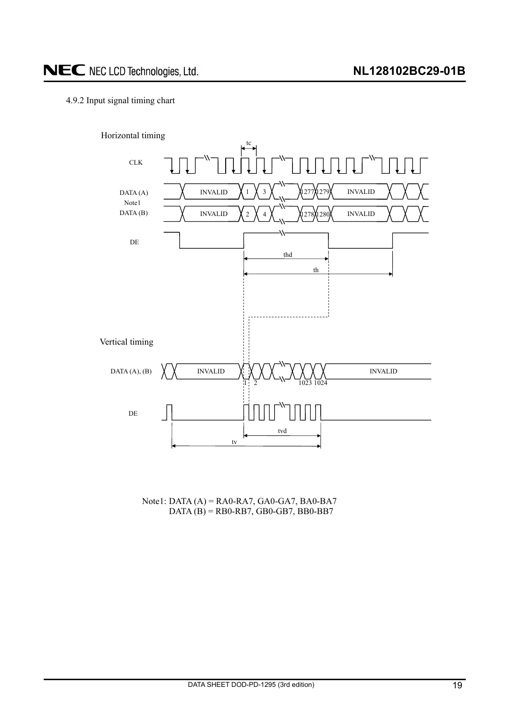### <span id="page-18-0"></span>4.9.2 Input signal timing chart



Note1: DATA (A) = RA0-RA7, GA0-GA7, BA0-BA7  $DATA (B) = RBO-RB7, GBO-GB7, BBO-BB7$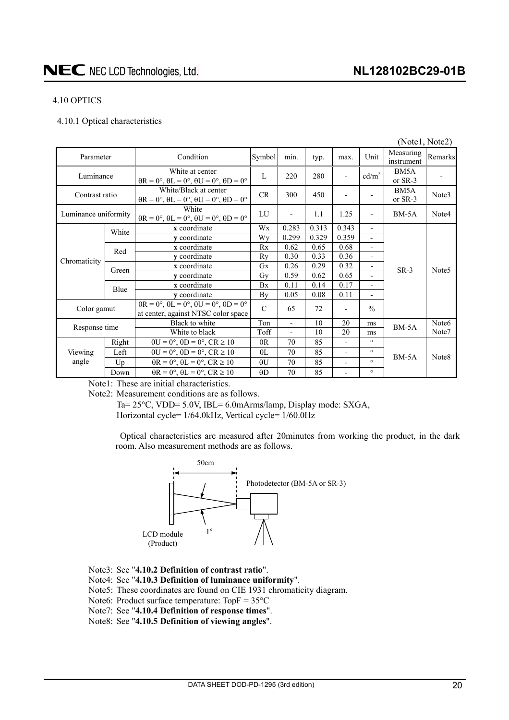### <span id="page-19-0"></span>4.10 OPTICS

### <span id="page-19-1"></span>4.10.1 Optical characteristics

|                      |       |                                                                                                           |               |                          |       |                          |                          | (Notel, Note2)          |                   |
|----------------------|-------|-----------------------------------------------------------------------------------------------------------|---------------|--------------------------|-------|--------------------------|--------------------------|-------------------------|-------------------|
| Parameter            |       | Condition                                                                                                 | Symbol        | min.                     | typ.  | max.                     | Unit                     | Measuring<br>instrument | Remarks           |
| Luminance            |       | White at center<br>$\theta$ R = 0°, $\theta$ L = 0°, $\theta$ U = 0°, $\theta$ D = 0°                     | $\mathbf{L}$  | 220                      | 280   | $\overline{a}$           | cd/m <sup>2</sup>        | BM5A<br>or SR-3         |                   |
| Contrast ratio       |       | White/Black at center<br>$\theta$ R = 0°, $\theta$ L = 0°, $\theta$ U = 0°, $\theta$ D = 0°               | CR            | 300                      | 450   |                          |                          | BM5A<br>or SR-3         | Note3             |
| Luminance uniformity |       | White<br>$\theta$ R = 0°, $\theta$ L = 0°, $\theta$ U = 0°, $\theta$ D = 0°                               | LU            |                          | 1.1   | 1.25                     | ٠                        | $BM-5A$                 | Note4             |
|                      | White | x coordinate                                                                                              | Wx            | 0.283                    | 0.313 | 0.343                    |                          |                         |                   |
|                      |       | y coordinate                                                                                              | Wy            | 0.299                    | 0.329 | 0.359                    |                          |                         | Note <sub>5</sub> |
|                      | Red   | x coordinate                                                                                              | Rx            | 0.62                     | 0.65  | 0.68                     |                          |                         |                   |
| Chromaticity         |       | y coordinate                                                                                              | Ry            | 0.30                     | 0.33  | 0.36                     | $\overline{\phantom{0}}$ |                         |                   |
|                      | Green | x coordinate                                                                                              | <b>Gx</b>     | 0.26                     | 0.29  | 0.32                     |                          | $SR-3$                  |                   |
|                      |       | y coordinate                                                                                              | Gy            | 0.59                     | 0.62  | 0.65                     |                          |                         |                   |
|                      | Blue  | x coordinate                                                                                              | <b>Bx</b>     | 0.11                     | 0.14  | 0.17                     | $\overline{\phantom{0}}$ |                         |                   |
|                      |       | y coordinate                                                                                              | By            | 0.05                     | 0.08  | 0.11                     | $\overline{\phantom{0}}$ |                         |                   |
| Color gamut          |       | $\theta$ R = 0°, $\theta$ L = 0°, $\theta$ U = 0°, $\theta$ D = 0°<br>at center, against NTSC color space | $\mathcal{C}$ | 65                       | 72    |                          | $\frac{0}{0}$            |                         |                   |
|                      |       | Black to white                                                                                            | Ton           | $\overline{\phantom{0}}$ | 10    | 20                       | ms                       | BM-5A                   | Note <sub>6</sub> |
| Response time        |       | White to black                                                                                            | Toff          | $\overline{\phantom{0}}$ | 10    | 20                       | ms                       |                         | Note7             |
|                      | Right | $\theta U = 0^\circ$ , $\theta D = 0^\circ$ , $CR \ge 10$                                                 | $\theta R$    | 70                       | 85    | $\overline{\phantom{0}}$ | $\circ$                  |                         |                   |
| Viewing              | Left  | $\theta U = 0^\circ$ , $\theta D = 0^\circ$ , $CR \ge 10$                                                 | $\theta$ L    | 70                       | 85    | ٠                        | $\circ$                  |                         |                   |
| angle                | Up    | $\theta$ R = 0°, $\theta$ L = 0°, CR $\geq 10$                                                            | $\theta U$    | 70                       | 85    | $\overline{\phantom{0}}$ | $\circ$                  | $BM-5A$                 | Note <sub>8</sub> |
|                      | Down  | $\theta$ R = 0°, $\theta$ L = 0°, CR $\geq 10$                                                            | $\theta$ D    | 70                       | 85    |                          | $\circ$                  |                         |                   |

Note1: These are initial characteristics.

Note2: Measurement conditions are as follows.

Ta=  $25^{\circ}$ C, VDD= 5.0V, IBL= 6.0mArms/lamp, Display mode: SXGA, Horizontal cycle= 1/64.0kHz, Vertical cycle= 1/60.0Hz

Optical characteristics are measured after 20minutes from working the product, in the dark room. Also measurement methods are as follows.



Note3: See "**4.10.2 Definition of contrast ratio**".

- Note4: See "**4.10.3 Definition of luminance uniformity**".
- Note5: These coordinates are found on CIE 1931 chromaticity diagram.
- Note6: Product surface temperature:  $TopF = 35^{\circ}C$
- Note7: See "**4.10.4 Definition of response times**".
- Note8: See "**4.10.5 Definition of viewing angles**".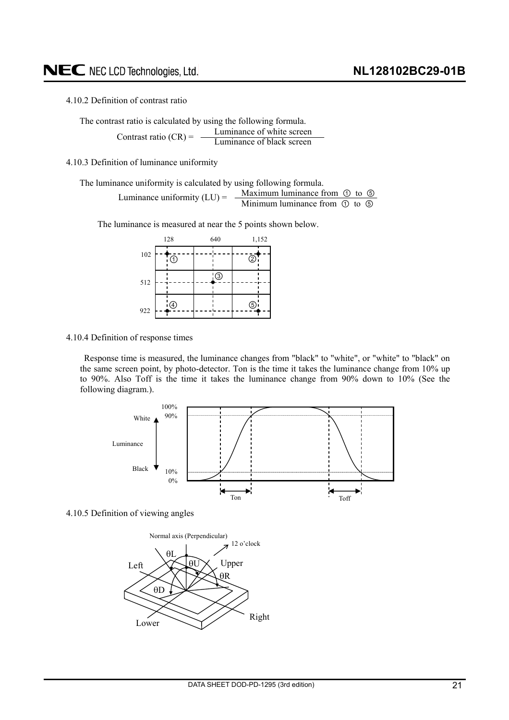<span id="page-20-0"></span>4.10.2 Definition of contrast ratio

The contrast ratio is calculated by using the following formula. Luminance of white screen Contrast ratio  $(CR) = \frac{L}{L}$  Luminance of black screen

<span id="page-20-1"></span>4.10.3 Definition of luminance uniformity

The luminance uniformity is calculated by using following formula. Maximum luminance from  $\odot$  to  $\odot$ Minimum luminance from  $\overline{(\theta)}$  to  $\overline{(\theta)}$ Luminance uniformity  $(LU)$  =

The luminance is measured at near the 5 points shown below.

|     | 128               | 640 | 1,152        |
|-----|-------------------|-----|--------------|
| 102 | Œ                 |     | $\mathbf{2}$ |
| 512 |                   | 3   |              |
| 922 | $\left( 4\right)$ |     | 5            |

### <span id="page-20-2"></span>4.10.4 Definition of response times

Response time is measured, the luminance changes from "black" to "white", or "white" to "black" on the same screen point, by photo-detector. Ton is the time it takes the luminance change from 10% up to 90%. Also Toff is the time it takes the luminance change from 90% down to 10% (See the following diagram.).



<span id="page-20-3"></span>4.10.5 Definition of viewing angles

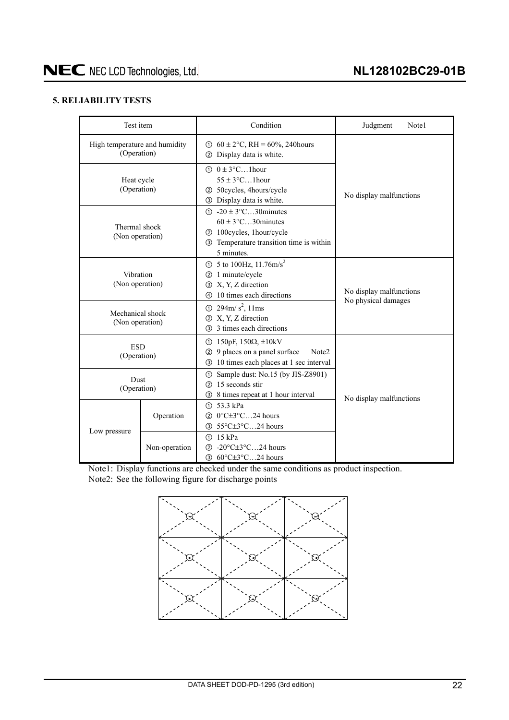### <span id="page-21-0"></span>**5. RELIABILITY TESTS**

| Test item                                    |               | Condition                                                                                                                                                       | Judgment<br>Note1                              |  |  |
|----------------------------------------------|---------------|-----------------------------------------------------------------------------------------------------------------------------------------------------------------|------------------------------------------------|--|--|
| High temperature and humidity<br>(Operation) |               | ① $60 \pm 2^{\circ}$ C, RH = $60\%$ , 240 hours<br>2 Display data is white.                                                                                     |                                                |  |  |
| Heat cycle<br>(Operation)                    |               | $\textcircled{1}$ 0 ± 3°C1 hour<br>$55 \pm 3$ °C1 hour<br>2 50cycles, 4hours/cycle<br>3 Display data is white.                                                  | No display malfunctions                        |  |  |
| Thermal shock<br>(Non operation)             |               | $\textcircled{1}$ -20 ± 3°C30 minutes<br>$60 \pm 3$ °C30 minutes<br>100cycles, 1hour/cycle<br>(2)<br>Temperature transition time is within<br>(3)<br>5 minutes. |                                                |  |  |
| Vibration<br>(Non operation)                 |               | ① 5 to 100Hz, $11.76 \text{m/s}^2$<br>2 1 minute/cycle<br>3 X, Y, Z direction<br>4 10 times each directions                                                     | No display malfunctions<br>No physical damages |  |  |
| Mechanical shock<br>(Non operation)          |               | $\textcircled{1}$ 294m/s <sup>2</sup> , 11ms<br>2 X, Y, Z direction<br>3 3 times each directions                                                                |                                                |  |  |
| <b>ESD</b><br>(Operation)                    |               | $\textcircled{1}$ 150pF, 150 $\Omega$ , ±10kV<br>2 9 places on a panel surface<br>Note2<br>10 times each places at 1 sec interval<br>⊚                          |                                                |  |  |
| Dust<br>(Operation)                          |               | ① Sample dust: No.15 (by JIS-Z8901)<br>15 seconds stir<br>3 8 times repeat at 1 hour interval                                                                   | No display malfunctions                        |  |  |
|                                              | Operation     | 1 53.3 kPa<br>$\odot$ 0°C $\pm$ 3°C24 hours<br>3 55°C±3°C24 hours                                                                                               |                                                |  |  |
| Low pressure                                 | Non-operation | (f) 15 kPa<br>$(2) -20$ °C $\pm 3$ °C24 hours<br><b>3</b> 60°C±3°C24 hours                                                                                      |                                                |  |  |

Note1: Display functions are checked under the same conditions as product inspection. Note2: See the following figure for discharge points

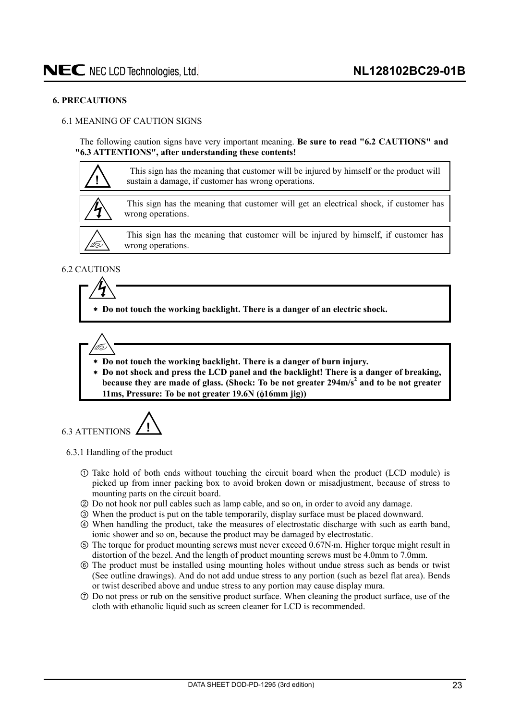### <span id="page-22-0"></span>**6. PRECAUTIONS**

### <span id="page-22-1"></span>6.1 MEANING OF CAUTION SIGNS

The following caution signs have very important meaning. **Be sure to read "6.2 CAUTIONS" and "6.3 ATTENTIONS", after understanding these contents!** 



### <span id="page-22-2"></span>6.2 CAUTIONS

 **Do not touch the working backlight. There is a danger of an electric shock.** 

- **Do not touch the working backlight. There is a danger of burn injury.**
- **Do not shock and press the LCD panel and the backlight! There is a danger of breaking,**  because they are made of glass. (Shock: To be not greater 294m/s<sup>2</sup> and to be not greater **11ms, Pressure: To be not greater 19.6N (** $\phi$ **16mm jig))**

<span id="page-22-3"></span>6.3 ATTENTIONS **!**

<span id="page-22-4"></span>6.3.1 Handling of the product

- Take hold of both ends without touching the circuit board when the product (LCD module) is picked up from inner packing box to avoid broken down or misadjustment, because of stress to mounting parts on the circuit board.
- ཱ Do not hook nor pull cables such as lamp cable, and so on, in order to avoid any damage.
- ི When the product is put on the table temporarily, display surface must be placed downward.
- ཱི When handling the product, take the measures of electrostatic discharge with such as earth band, ionic shower and so on, because the product may be damaged by electrostatic.
- ུ The torque for product mounting screws must never exceed 0.67Nm. Higher torque might result in distortion of the bezel. And the length of product mounting screws must be 4.0mm to 7.0mm.
- ཱུ The product must be installed using mounting holes without undue stress such as bends or twist (See outline drawings). And do not add undue stress to any portion (such as bezel flat area). Bends or twist described above and undue stress to any portion may cause display mura.
- ྲྀ Do not press or rub on the sensitive product surface. When cleaning the product surface, use of the cloth with ethanolic liquid such as screen cleaner for LCD is recommended.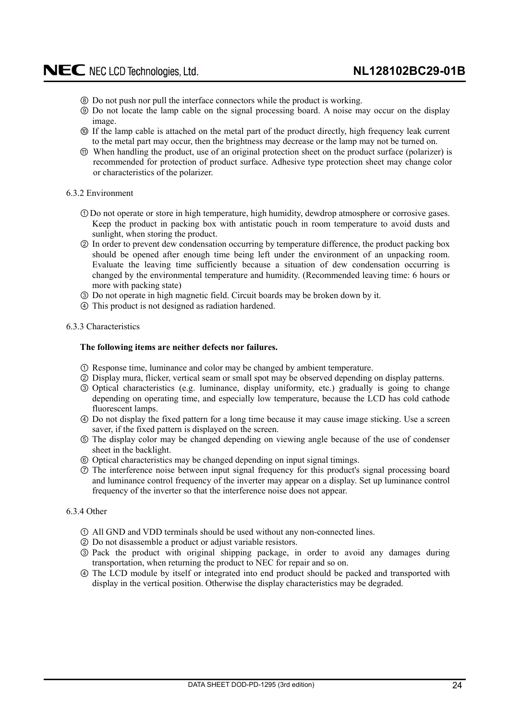- ཷ Do not push nor pull the interface connectors while the product is working.
- ླྀ Do not locate the lamp cable on the signal processing board. A noise may occur on the display image.
- ཹ If the lamp cable is attached on the metal part of the product directly, high frequency leak current to the metal part may occur, then the brightness may decrease or the lamp may not be turned on.
- ེ When handling the product, use of an original protection sheet on the product surface (polarizer) is recommended for protection of product surface. Adhesive type protection sheet may change color or characteristics of the polarizer.

### <span id="page-23-0"></span>6.3.2 Environment

- Do not operate or store in high temperature, high humidity, dewdrop atmosphere or corrosive gases. Keep the product in packing box with antistatic pouch in room temperature to avoid dusts and sunlight, when storing the product.
- ཱ In order to prevent dew condensation occurring by temperature difference, the product packing box should be opened after enough time being left under the environment of an unpacking room. Evaluate the leaving time sufficiently because a situation of dew condensation occurring is changed by the environmental temperature and humidity. (Recommended leaving time: 6 hours or more with packing state)
- ི Do not operate in high magnetic field. Circuit boards may be broken down by it.
- ཱི This product is not designed as radiation hardened.

### <span id="page-23-1"></span>6.3.3 Characteristics

### **The following items are neither defects nor failures.**

- Response time, luminance and color may be changed by ambient temperature.
- ཱ Display mura, flicker, vertical seam or small spot may be observed depending on display patterns.
- ི Optical characteristics (e.g. luminance, display uniformity, etc.) gradually is going to change depending on operating time, and especially low temperature, because the LCD has cold cathode fluorescent lamps.
- ཱི Do not display the fixed pattern for a long time because it may cause image sticking. Use a screen saver, if the fixed pattern is displayed on the screen.
- ུ The display color may be changed depending on viewing angle because of the use of condenser sheet in the backlight.
- ཱུ Optical characteristics may be changed depending on input signal timings.
- ྲྀ The interference noise between input signal frequency for this product's signal processing board and luminance control frequency of the inverter may appear on a display. Set up luminance control frequency of the inverter so that the interference noise does not appear.

#### <span id="page-23-2"></span>6.3.4 Other

- All GND and VDD terminals should be used without any non-connected lines.
- ཱ Do not disassemble a product or adjust variable resistors.
- ི Pack the product with original shipping package, in order to avoid any damages during transportation, when returning the product to NEC for repair and so on.
- ཱིThe LCD module by itself or integrated into end product should be packed and transported with display in the vertical position. Otherwise the display characteristics may be degraded.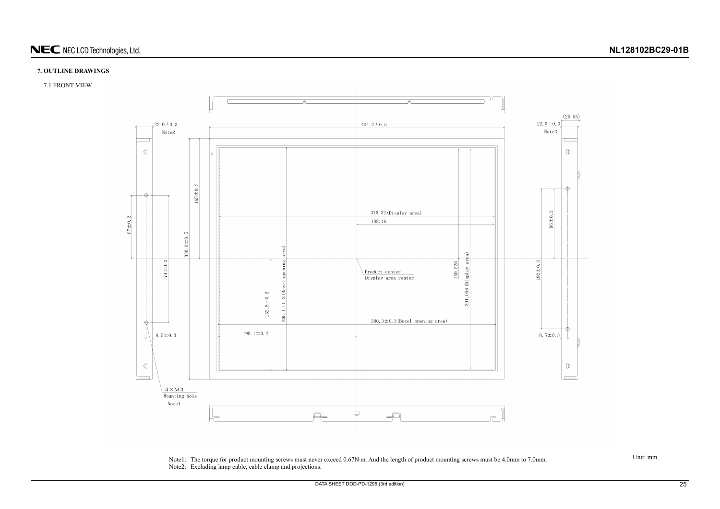

### **7. OUTLINE DRAWINGS**

### 7.1 FRONT VIEW



<span id="page-24-1"></span><span id="page-24-0"></span>Note1: The torque for product mounting screws must never exceed 0.67N·m. And the length of product mounting screws must be 4.0mm to 7.0mm. Unit: mm Note2: Excluding lamp cable, cable clamp and projections.